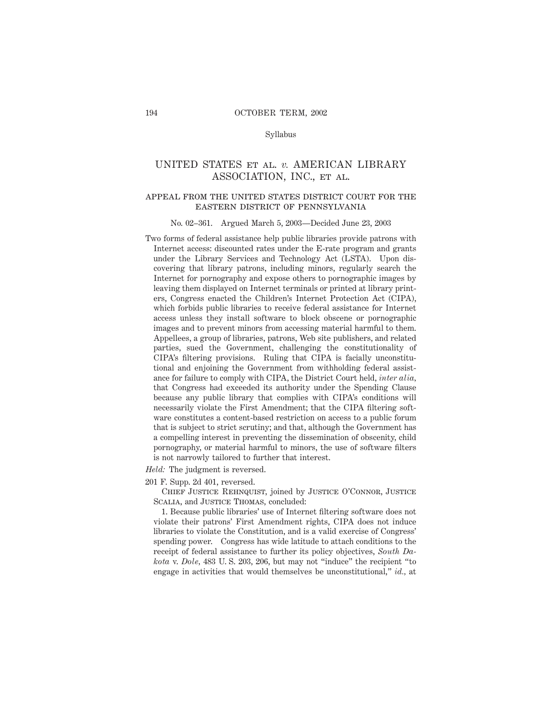# UNITED STATES et al. *v.* AMERICAN LIBRARY ASSOCIATION, INC., et al.

### appeal from the united states district court for theeastern district of pennsylvania

#### No. 02–361. Argued March 5, 2003—Decided June 23, 2003

Two forms of federal assistance help public libraries provide patrons with Internet access: discounted rates under the E-rate program and grants under the Library Services and Technology Act (LSTA). Upon discovering that library patrons, including minors, regularly search the Internet for pornography and expose others to pornographic images by leaving them displayed on Internet terminals or printed at library printers, Congress enacted the Children's Internet Protection Act (CIPA), which forbids public libraries to receive federal assistance for Internet access unless they install software to block obscene or pornographic images and to prevent minors from accessing material harmful to them. Appellees, a group of libraries, patrons, Web site publishers, and related parties, sued the Government, challenging the constitutionality of CIPA's filtering provisions. Ruling that CIPA is facially unconstitutional and enjoining the Government from withholding federal assistance for failure to comply with CIPA, the District Court held, *inter alia,* that Congress had exceeded its authority under the Spending Clause because any public library that complies with CIPA's conditions will necessarily violate the First Amendment; that the CIPA filtering software constitutes a content-based restriction on access to a public forum that is subject to strict scrutiny; and that, although the Government has a compelling interest in preventing the dissemination of obscenity, child pornography, or material harmful to minors, the use of software filters is not narrowly tailored to further that interest.

*Held:* The judgment is reversed.

201 F. Supp. 2d 401, reversed.

Chief Justice Rehnquist, joined by Justice O'Connor, Justice SCALIA, and JUSTICE THOMAS, concluded:

1. Because public libraries' use of Internet filtering software does not violate their patrons' First Amendment rights, CIPA does not induce libraries to violate the Constitution, and is a valid exercise of Congress' spending power. Congress has wide latitude to attach conditions to the receipt of federal assistance to further its policy objectives, *South Dakota* v. *Dole,* 483 U. S. 203, 206, but may not "induce" the recipient "to engage in activities that would themselves be unconstitutional," *id.,* at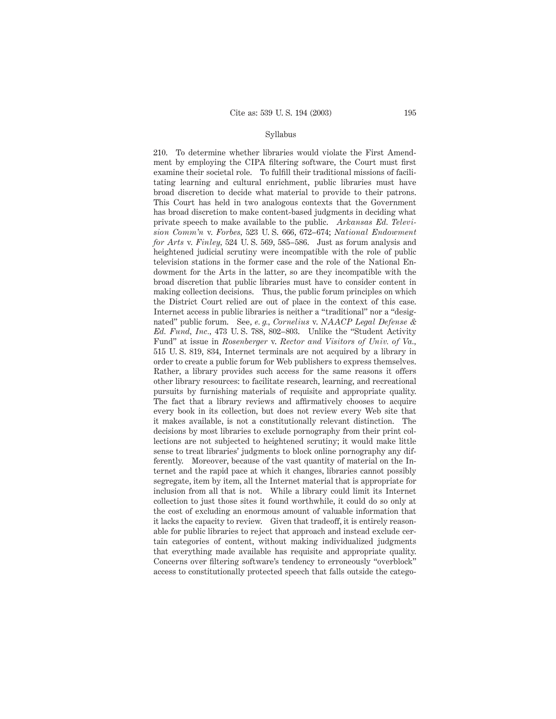210. To determine whether libraries would violate the First Amendment by employing the CIPA filtering software, the Court must first examine their societal role. To fulfill their traditional missions of facilitating learning and cultural enrichment, public libraries must have broad discretion to decide what material to provide to their patrons. This Court has held in two analogous contexts that the Government has broad discretion to make content-based judgments in deciding what private speech to make available to the public. *Arkansas Ed. Television Comm'n* v. *Forbes,* 523 U. S. 666, 672–674; *National Endowment for Arts* v. *Finley,* 524 U. S. 569, 585–586. Just as forum analysis and heightened judicial scrutiny were incompatible with the role of public television stations in the former case and the role of the National Endowment for the Arts in the latter, so are they incompatible with the broad discretion that public libraries must have to consider content in making collection decisions. Thus, the public forum principles on which the District Court relied are out of place in the context of this case. Internet access in public libraries is neither a "traditional" nor a "designated" public forum. See, *e. g., Cornelius* v. *NAACP Legal Defense & Ed. Fund, Inc.,* 473 U. S. 788, 802–803. Unlike the "Student Activity Fund" at issue in *Rosenberger* v. *Rector and Visitors of Univ. of Va.,* 515 U. S. 819, 834, Internet terminals are not acquired by a library in order to create a public forum for Web publishers to express themselves. Rather, a library provides such access for the same reasons it offers other library resources: to facilitate research, learning, and recreational pursuits by furnishing materials of requisite and appropriate quality. The fact that a library reviews and affirmatively chooses to acquire every book in its collection, but does not review every Web site that it makes available, is not a constitutionally relevant distinction. The decisions by most libraries to exclude pornography from their print collections are not subjected to heightened scrutiny; it would make little sense to treat libraries' judgments to block online pornography any differently. Moreover, because of the vast quantity of material on the Internet and the rapid pace at which it changes, libraries cannot possibly segregate, item by item, all the Internet material that is appropriate for inclusion from all that is not. While a library could limit its Internet collection to just those sites it found worthwhile, it could do so only at the cost of excluding an enormous amount of valuable information that it lacks the capacity to review. Given that tradeoff, it is entirely reasonable for public libraries to reject that approach and instead exclude certain categories of content, without making individualized judgments that everything made available has requisite and appropriate quality. Concerns over filtering software's tendency to erroneously "overblock" access to constitutionally protected speech that falls outside the catego-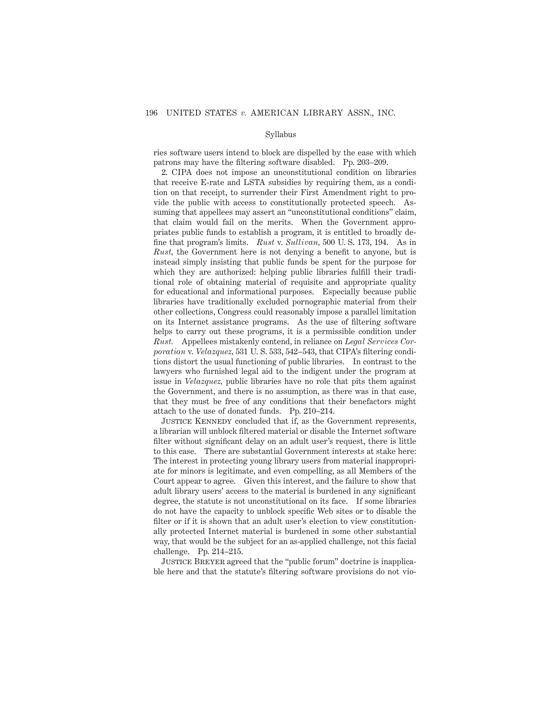ries software users intend to block are dispelled by the ease with which patrons may have the filtering software disabled. Pp. 203–209.

2. CIPA does not impose an unconstitutional condition on libraries that receive E-rate and LSTA subsidies by requiring them, as a condition on that receipt, to surrender their First Amendment right to provide the public with access to constitutionally protected speech. Assuming that appellees may assert an "unconstitutional conditions" claim, that claim would fail on the merits. When the Government appropriates public funds to establish a program, it is entitled to broadly define that program's limits. *Rust* v. *Sullivan,* 500 U. S. 173, 194. As in *Rust,* the Government here is not denying a benefit to anyone, but is instead simply insisting that public funds be spent for the purpose for which they are authorized: helping public libraries fulfill their traditional role of obtaining material of requisite and appropriate quality for educational and informational purposes. Especially because public libraries have traditionally excluded pornographic material from their other collections, Congress could reasonably impose a parallel limitation on its Internet assistance programs. As the use of filtering software helps to carry out these programs, it is a permissible condition under *Rust.* Appellees mistakenly contend, in reliance on *Legal Services Corporation* v. *Velazquez,* 531 U. S. 533, 542–543, that CIPA's filtering conditions distort the usual functioning of public libraries. In contrast to the lawyers who furnished legal aid to the indigent under the program at issue in *Velazquez,* public libraries have no role that pits them against the Government, and there is no assumption, as there was in that case, that they must be free of any conditions that their benefactors might attach to the use of donated funds. Pp. 210–214.

Justice Kennedy concluded that if, as the Government represents, a librarian will unblock filtered material or disable the Internet software filter without significant delay on an adult user's request, there is little to this case. There are substantial Government interests at stake here: The interest in protecting young library users from material inappropriate for minors is legitimate, and even compelling, as all Members of the Court appear to agree. Given this interest, and the failure to show that adult library users' access to the material is burdened in any significant degree, the statute is not unconstitutional on its face. If some libraries do not have the capacity to unblock specific Web sites or to disable the filter or if it is shown that an adult user's election to view constitutionally protected Internet material is burdened in some other substantial way, that would be the subject for an as-applied challenge, not this facial challenge. Pp. 214–215.

Justice Breyer agreed that the "public forum" doctrine is inapplicable here and that the statute's filtering software provisions do not vio-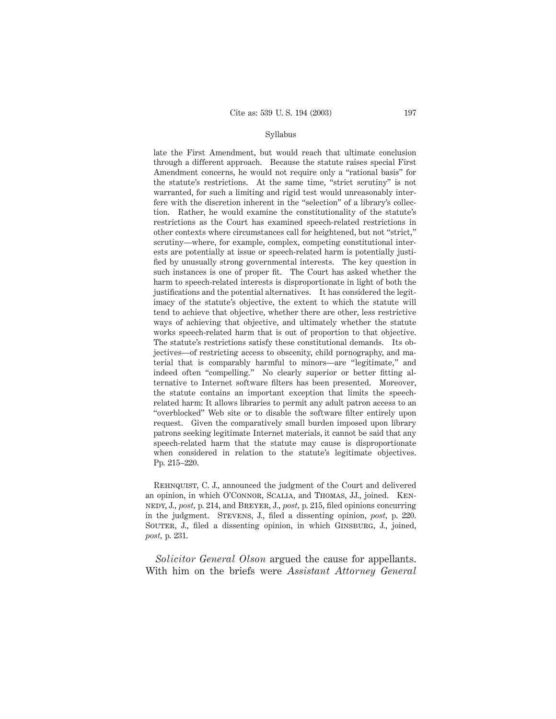late the First Amendment, but would reach that ultimate conclusion through a different approach. Because the statute raises special First Amendment concerns, he would not require only a "rational basis" for the statute's restrictions. At the same time, "strict scrutiny" is not warranted, for such a limiting and rigid test would unreasonably interfere with the discretion inherent in the "selection" of a library's collection. Rather, he would examine the constitutionality of the statute's restrictions as the Court has examined speech-related restrictions in other contexts where circumstances call for heightened, but not "strict," scrutiny—where, for example, complex, competing constitutional interests are potentially at issue or speech-related harm is potentially justified by unusually strong governmental interests. The key question in such instances is one of proper fit. The Court has asked whether the harm to speech-related interests is disproportionate in light of both the justifications and the potential alternatives. It has considered the legitimacy of the statute's objective, the extent to which the statute will tend to achieve that objective, whether there are other, less restrictive ways of achieving that objective, and ultimately whether the statute works speech-related harm that is out of proportion to that objective. The statute's restrictions satisfy these constitutional demands. Its objectives—of restricting access to obscenity, child pornography, and material that is comparably harmful to minors—are "legitimate," and indeed often "compelling." No clearly superior or better fitting alternative to Internet software filters has been presented. Moreover, the statute contains an important exception that limits the speechrelated harm: It allows libraries to permit any adult patron access to an "overblocked" Web site or to disable the software filter entirely upon request. Given the comparatively small burden imposed upon library patrons seeking legitimate Internet materials, it cannot be said that any speech-related harm that the statute may cause is disproportionate when considered in relation to the statute's legitimate objectives. Pp. 215–220.

Rehnquist, C. J., announced the judgment of the Court and delivered an opinion, in which O'Connor, Scalia, and Thomas, JJ., joined. Kennedy, J., *post,* p. 214, and Breyer, J., *post,* p. 215, filed opinions concurring in the judgment. Stevens, J., filed a dissenting opinion, *post,* p. 220. SOUTER, J., filed a dissenting opinion, in which GINSBURG, J., joined, *post,* p. 231.

*Solicitor General Olson* argued the cause for appellants. With him on the briefs were *Assistant Attorney General*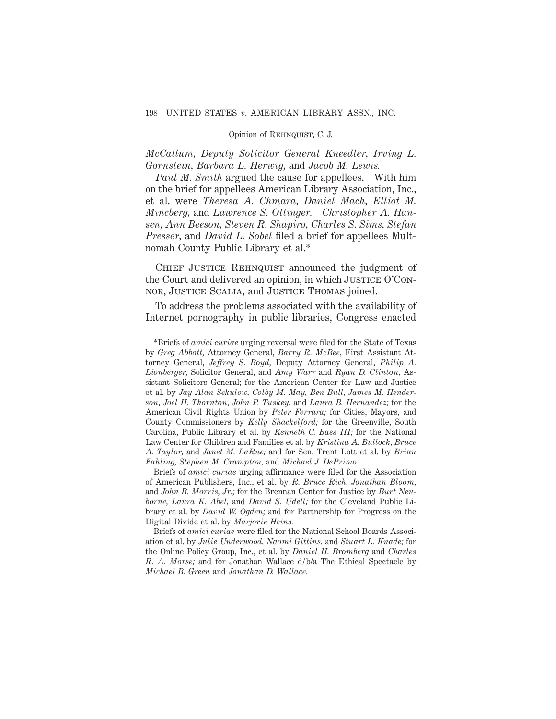*McCallum, Deputy Solicitor General Kneedler, Irving L. Gornstein, Barbara L. Herwig,* and *Jacob M. Lewis.*

*Paul M. Smith* argued the cause for appellees. With him on the brief for appellees American Library Association, Inc., et al. were *Theresa A. Chmara, Daniel Mach, Elliot M. Mincberg,* and *Lawrence S. Ottinger. Christopher A. Hansen, Ann Beeson, Steven R. Shapiro, Charles S. Sims, Stefan Presser,* and *David L. Sobel* filed a brief for appellees Multnomah County Public Library et al.\*

CHIEF JUSTICE REHNQUIST announced the judgment of the Court and delivered an opinion, in which JUSTICE O'CONnor, Justice Scalia, and Justice Thomas joined.

To address the problems associated with the availability of Internet pornography in public libraries, Congress enacted

<sup>\*</sup>Briefs of *amici curiae* urging reversal were filed for the State of Texas by *Greg Abbott,* Attorney General, *Barry R. McBee,* First Assistant Attorney General, *Jeffrey S. Boyd,* Deputy Attorney General, *Philip A. Lionberger,* Solicitor General, and *Amy Warr* and *Ryan D. Clinton,* Assistant Solicitors General; for the American Center for Law and Justice et al. by *Jay Alan Sekulow, Colby M. May, Ben Bull, James M. Henderson, Joel H. Thornton, John P. Tuskey,* and *Laura B. Hernandez;* for the American Civil Rights Union by *Peter Ferrara;* for Cities, Mayors, and County Commissioners by *Kelly Shackelford;* for the Greenville, South Carolina, Public Library et al. by *Kenneth C. Bass III;* for the National Law Center for Children and Families et al. by *Kristina A. Bullock, Bruce A. Taylor,* and *Janet M. LaRue;* and for Sen. Trent Lott et al. by *Brian Fahling, Stephen M. Crampton,* and *Michael J. DePrimo.*

Briefs of *amici curiae* urging affirmance were filed for the Association of American Publishers, Inc., et al. by *R. Bruce Rich, Jonathan Bloom,* and *John B. Morris, Jr.;* for the Brennan Center for Justice by *Burt Neuborne, Laura K. Abel,* and *David S. Udell;* for the Cleveland Public Library et al. by *David W. Ogden;* and for Partnership for Progress on the Digital Divide et al. by *Marjorie Heins.*

Briefs of *amici curiae* were filed for the National School Boards Association et al. by *Julie Underwood, Naomi Gittins,* and *Stuart L. Knade;* for the Online Policy Group, Inc., et al. by *Daniel H. Bromberg* and *Charles R. A. Morse;* and for Jonathan Wallace d/b/a The Ethical Spectacle by *Michael B. Green* and *Jonathan D. Wallace.*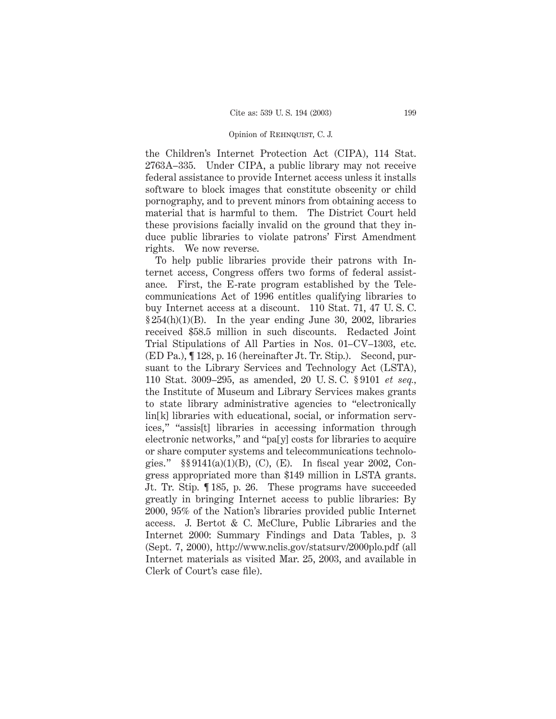the Children's Internet Protection Act (CIPA), 114 Stat. 2763A–335. Under CIPA, a public library may not receive federal assistance to provide Internet access unless it installs software to block images that constitute obscenity or child pornography, and to prevent minors from obtaining access to material that is harmful to them. The District Court held these provisions facially invalid on the ground that they induce public libraries to violate patrons' First Amendment rights. We now reverse.

To help public libraries provide their patrons with Internet access, Congress offers two forms of federal assistance. First, the E-rate program established by the Telecommunications Act of 1996 entitles qualifying libraries to buy Internet access at a discount. 110 Stat. 71, 47 U. S. C.  $§254(h)(1)(B)$ . In the year ending June 30, 2002, libraries received \$58.5 million in such discounts. Redacted Joint Trial Stipulations of All Parties in Nos. 01–CV–1303, etc. (ED Pa.), ¶ 128, p. 16 (hereinafter Jt. Tr. Stip.). Second, pursuant to the Library Services and Technology Act (LSTA), 110 Stat. 3009–295, as amended, 20 U. S. C. § 9101 *et seq.,* the Institute of Museum and Library Services makes grants to state library administrative agencies to "electronically lin[k] libraries with educational, social, or information services," "assis[t] libraries in accessing information through electronic networks," and "pa[y] costs for libraries to acquire or share computer systems and telecommunications technologies." §§ 9141(a)(1)(B), (C), (E). In fiscal year 2002, Congress appropriated more than \$149 million in LSTA grants. Jt. Tr. Stip. ¶ 185, p. 26. These programs have succeeded greatly in bringing Internet access to public libraries: By 2000, 95% of the Nation's libraries provided public Internet access. J. Bertot & C. McClure, Public Libraries and the Internet 2000: Summary Findings and Data Tables, p. 3 (Sept. 7, 2000), http://www.nclis.gov/statsurv/2000plo.pdf (all Internet materials as visited Mar. 25, 2003, and available in Clerk of Court's case file).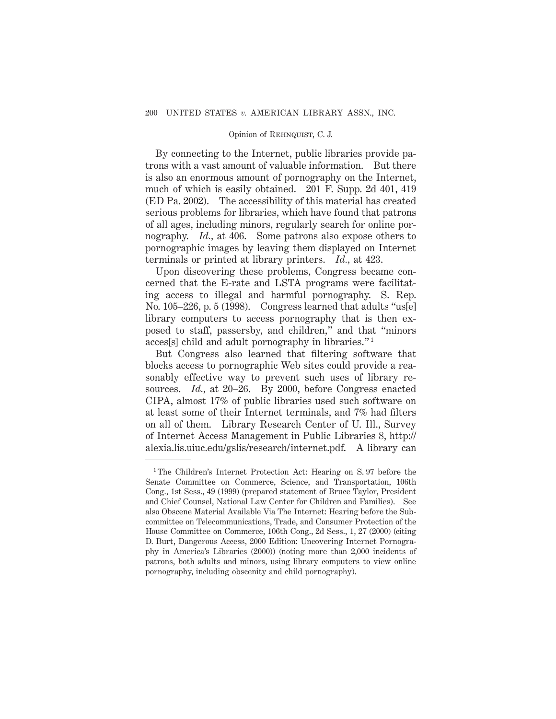By connecting to the Internet, public libraries provide patrons with a vast amount of valuable information. But there is also an enormous amount of pornography on the Internet, much of which is easily obtained. 201 F. Supp. 2d 401, 419 (ED Pa. 2002). The accessibility of this material has created serious problems for libraries, which have found that patrons of all ages, including minors, regularly search for online pornography. *Id.,* at 406. Some patrons also expose others to pornographic images by leaving them displayed on Internet terminals or printed at library printers. *Id.,* at 423.

Upon discovering these problems, Congress became concerned that the E-rate and LSTA programs were facilitating access to illegal and harmful pornography. S. Rep. No. 105–226, p. 5 (1998). Congress learned that adults "us[e] library computers to access pornography that is then exposed to staff, passersby, and children," and that "minors acces[s] child and adult pornography in libraries." <sup>1</sup>

But Congress also learned that filtering software that blocks access to pornographic Web sites could provide a reasonably effective way to prevent such uses of library resources. *Id.,* at 20–26. By 2000, before Congress enacted CIPA, almost 17% of public libraries used such software on at least some of their Internet terminals, and 7% had filters on all of them. Library Research Center of U. Ill., Survey of Internet Access Management in Public Libraries 8, http:// alexia.lis.uiuc.edu/gslis/research/internet.pdf. A library can

<sup>1</sup> The Children's Internet Protection Act: Hearing on S. 97 before the Senate Committee on Commerce, Science, and Transportation, 106th Cong., 1st Sess., 49 (1999) (prepared statement of Bruce Taylor, President and Chief Counsel, National Law Center for Children and Families). See also Obscene Material Available Via The Internet: Hearing before the Subcommittee on Telecommunications, Trade, and Consumer Protection of the House Committee on Commerce, 106th Cong., 2d Sess., 1, 27 (2000) (citing D. Burt, Dangerous Access, 2000 Edition: Uncovering Internet Pornography in America's Libraries (2000)) (noting more than 2,000 incidents of patrons, both adults and minors, using library computers to view online pornography, including obscenity and child pornography).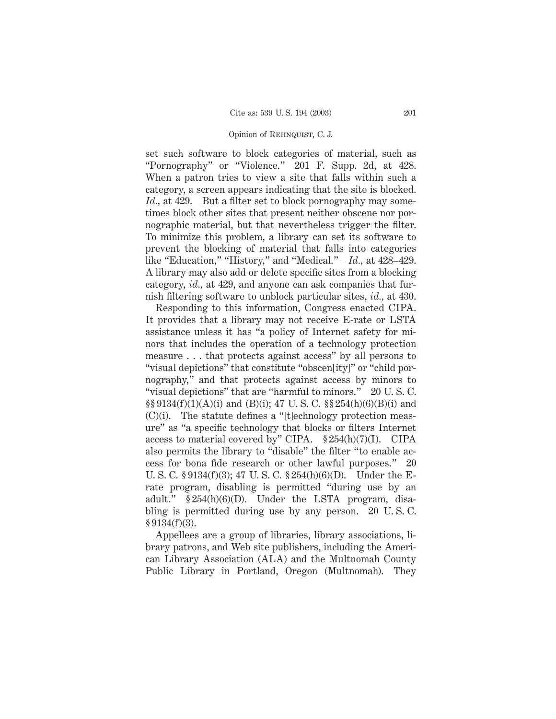set such software to block categories of material, such as "Pornography" or "Violence." 201 F. Supp. 2d, at 428. When a patron tries to view a site that falls within such a category, a screen appears indicating that the site is blocked. *Id.,* at 429. But a filter set to block pornography may sometimes block other sites that present neither obscene nor pornographic material, but that nevertheless trigger the filter. To minimize this problem, a library can set its software to prevent the blocking of material that falls into categories like "Education," "History," and "Medical." *Id.,* at 428–429. A library may also add or delete specific sites from a blocking category, *id.,* at 429, and anyone can ask companies that furnish filtering software to unblock particular sites, *id.,* at 430.

Responding to this information, Congress enacted CIPA. It provides that a library may not receive E-rate or LSTA assistance unless it has "a policy of Internet safety for minors that includes the operation of a technology protection measure . . . that protects against access" by all persons to "visual depictions" that constitute "obscen[ity]" or "child pornography," and that protects against access by minors to "visual depictions" that are "harmful to minors." 20 U. S. C. §§ 9134(f)(1)(A)(i) and (B)(i); 47 U. S. C. §§ 254(h)(6)(B)(i) and  $(C)(i)$ . The statute defines a "[t]echnology protection measure" as "a specific technology that blocks or filters Internet access to material covered by" CIPA.  $\S 254(h)(7)(I)$ . CIPA also permits the library to "disable" the filter "to enable access for bona fide research or other lawful purposes." 20 U. S. C. § 9134(f)(3); 47 U. S. C. § 254(h)(6)(D). Under the Erate program, disabling is permitted "during use by an adult." § 254(h)(6)(D). Under the LSTA program, disabling is permitted during use by any person. 20 U. S. C. § 9134(f)(3).

Appellees are a group of libraries, library associations, library patrons, and Web site publishers, including the American Library Association (ALA) and the Multnomah County Public Library in Portland, Oregon (Multnomah). They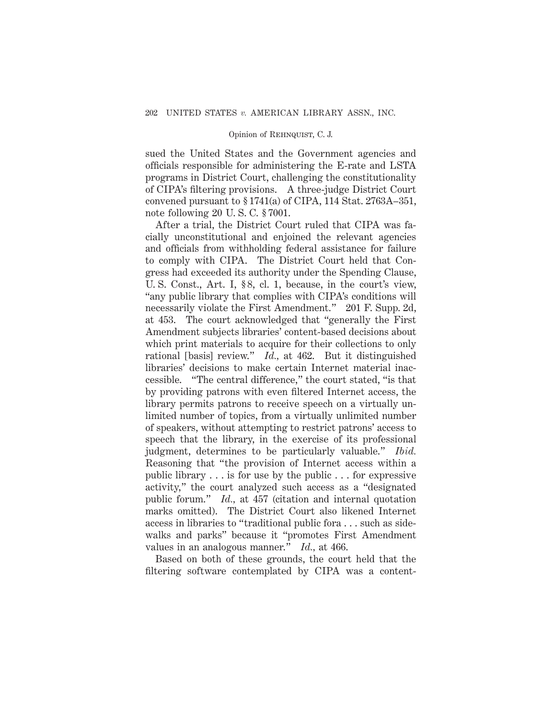sued the United States and the Government agencies and officials responsible for administering the E-rate and LSTA programs in District Court, challenging the constitutionality of CIPA's filtering provisions. A three-judge District Court convened pursuant to § 1741(a) of CIPA, 114 Stat. 2763A–351, note following 20 U. S. C. § 7001.

After a trial, the District Court ruled that CIPA was facially unconstitutional and enjoined the relevant agencies and officials from withholding federal assistance for failure to comply with CIPA. The District Court held that Congress had exceeded its authority under the Spending Clause, U. S. Const., Art. I, § 8, cl. 1, because, in the court's view, "any public library that complies with CIPA's conditions will necessarily violate the First Amendment." 201 F. Supp. 2d, at 453. The court acknowledged that "generally the First Amendment subjects libraries' content-based decisions about which print materials to acquire for their collections to only rational [basis] review." *Id.,* at 462. But it distinguished libraries' decisions to make certain Internet material inaccessible. "The central difference," the court stated, "is that by providing patrons with even filtered Internet access, the library permits patrons to receive speech on a virtually unlimited number of topics, from a virtually unlimited number of speakers, without attempting to restrict patrons' access to speech that the library, in the exercise of its professional judgment, determines to be particularly valuable." *Ibid.* Reasoning that "the provision of Internet access within a public library . . . is for use by the public . . . for expressive activity," the court analyzed such access as a "designated public forum." *Id.,* at 457 (citation and internal quotation marks omitted). The District Court also likened Internet access in libraries to "traditional public fora... such as sidewalks and parks" because it "promotes First Amendment values in an analogous manner." *Id.,* at 466.

Based on both of these grounds, the court held that the filtering software contemplated by CIPA was a content-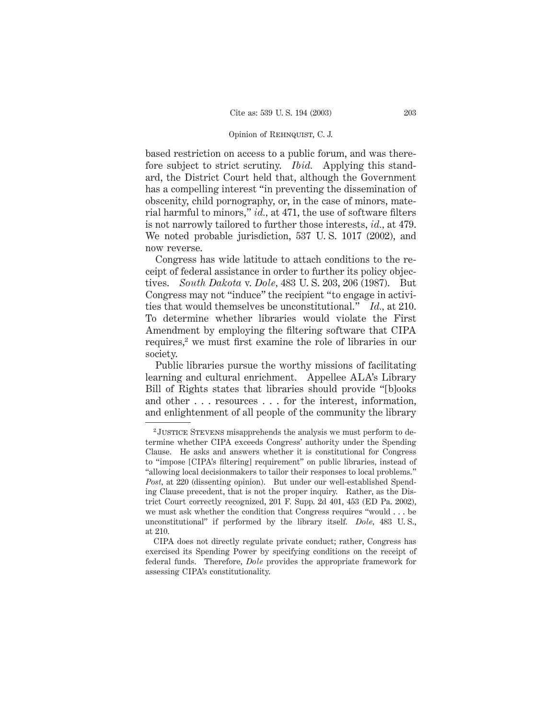based restriction on access to a public forum, and was therefore subject to strict scrutiny. *Ibid.* Applying this standard, the District Court held that, although the Government has a compelling interest "in preventing the dissemination of obscenity, child pornography, or, in the case of minors, material harmful to minors," *id.,* at 471, the use of software filters is not narrowly tailored to further those interests, *id.,* at 479. We noted probable jurisdiction, 537 U. S. 1017 (2002), and now reverse.

Congress has wide latitude to attach conditions to the receipt of federal assistance in order to further its policy objectives. *South Dakota* v. *Dole,* 483 U. S. 203, 206 (1987). But Congress may not "induce" the recipient "to engage in activities that would themselves be unconstitutional." *Id.,* at 210. To determine whether libraries would violate the First Amendment by employing the filtering software that CIPA requires,<sup>2</sup> we must first examine the role of libraries in our society.

Public libraries pursue the worthy missions of facilitating learning and cultural enrichment. Appellee ALA's Library Bill of Rights states that libraries should provide "[b]ooks and other . . . resources . . . for the interest, information, and enlightenment of all people of the community the library

<sup>&</sup>lt;sup>2</sup> JUSTICE STEVENS misapprehends the analysis we must perform to determine whether CIPA exceeds Congress' authority under the Spending Clause. He asks and answers whether it is constitutional for Congress to "impose [CIPA's filtering] requirement" on public libraries, instead of "allowing local decisionmakers to tailor their responses to local problems." *Post,* at 220 (dissenting opinion). But under our well-established Spending Clause precedent, that is not the proper inquiry. Rather, as the District Court correctly recognized, 201 F. Supp. 2d 401, 453 (ED Pa. 2002), we must ask whether the condition that Congress requires "would . . . be unconstitutional" if performed by the library itself. *Dole,* 483 U. S., at 210.

CIPA does not directly regulate private conduct; rather, Congress has exercised its Spending Power by specifying conditions on the receipt of federal funds. Therefore, *Dole* provides the appropriate framework for assessing CIPA's constitutionality.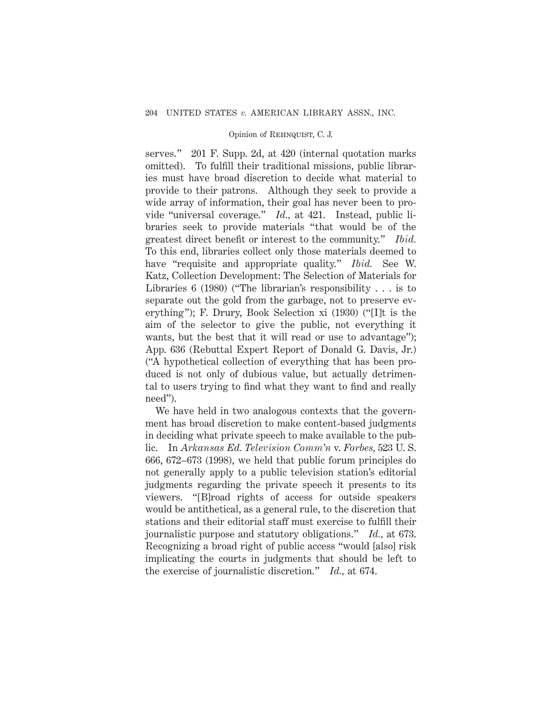serves." 201 F. Supp. 2d, at 420 (internal quotation marks omitted). To fulfill their traditional missions, public libraries must have broad discretion to decide what material to provide to their patrons. Although they seek to provide a wide array of information, their goal has never been to provide "universal coverage." *Id.,* at 421. Instead, public libraries seek to provide materials "that would be of the greatest direct benefit or interest to the community." *Ibid.* To this end, libraries collect only those materials deemed to have "requisite and appropriate quality." *Ibid.* See W. Katz, Collection Development: The Selection of Materials for Libraries 6 (1980) ("The librarian's responsibility . . . is to separate out the gold from the garbage, not to preserve everything"); F. Drury, Book Selection xi (1930) ("[I]t is the aim of the selector to give the public, not everything it wants, but the best that it will read or use to advantage"); App. 636 (Rebuttal Expert Report of Donald G. Davis, Jr.) ("A hypothetical collection of everything that has been produced is not only of dubious value, but actually detrimental to users trying to find what they want to find and really need").

We have held in two analogous contexts that the government has broad discretion to make content-based judgments in deciding what private speech to make available to the public. In *Arkansas Ed. Television Comm'n* v. *Forbes,* 523 U. S. 666, 672–673 (1998), we held that public forum principles do not generally apply to a public television station's editorial judgments regarding the private speech it presents to its viewers. "[B]road rights of access for outside speakers would be antithetical, as a general rule, to the discretion that stations and their editorial staff must exercise to fulfill their journalistic purpose and statutory obligations." *Id.,* at 673. Recognizing a broad right of public access "would [also] risk implicating the courts in judgments that should be left to the exercise of journalistic discretion." *Id.,* at 674.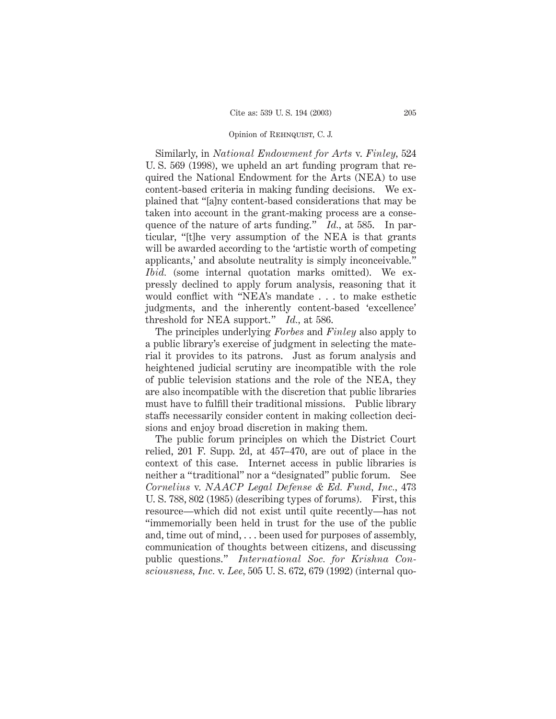Similarly, in *National Endowment for Arts* v. *Finley,* 524 U. S. 569 (1998), we upheld an art funding program that required the National Endowment for the Arts (NEA) to use content-based criteria in making funding decisions. We explained that "[a]ny content-based considerations that may be taken into account in the grant-making process are a consequence of the nature of arts funding." *Id.,* at 585. In particular, "[t]he very assumption of the NEA is that grants will be awarded according to the 'artistic worth of competing applicants,' and absolute neutrality is simply inconceivable." *Ibid.* (some internal quotation marks omitted). We expressly declined to apply forum analysis, reasoning that it would conflict with "NEA's mandate . . . to make esthetic judgments, and the inherently content-based 'excellence' threshold for NEA support." *Id.,* at 586.

The principles underlying *Forbes* and *Finley* also apply to a public library's exercise of judgment in selecting the material it provides to its patrons. Just as forum analysis and heightened judicial scrutiny are incompatible with the role of public television stations and the role of the NEA, they are also incompatible with the discretion that public libraries must have to fulfill their traditional missions. Public library staffs necessarily consider content in making collection decisions and enjoy broad discretion in making them.

The public forum principles on which the District Court relied, 201 F. Supp. 2d, at 457–470, are out of place in the context of this case. Internet access in public libraries is neither a "traditional" nor a "designated" public forum. See *Cornelius* v. *NAACP Legal Defense & Ed. Fund, Inc.,* 473 U. S. 788, 802 (1985) (describing types of forums). First, this resource—which did not exist until quite recently—has not "immemorially been held in trust for the use of the public and, time out of mind,... been used for purposes of assembly, communication of thoughts between citizens, and discussing public questions." *International Soc. for Krishna Consciousness, Inc.* v. *Lee,* 505 U. S. 672, 679 (1992) (internal quo-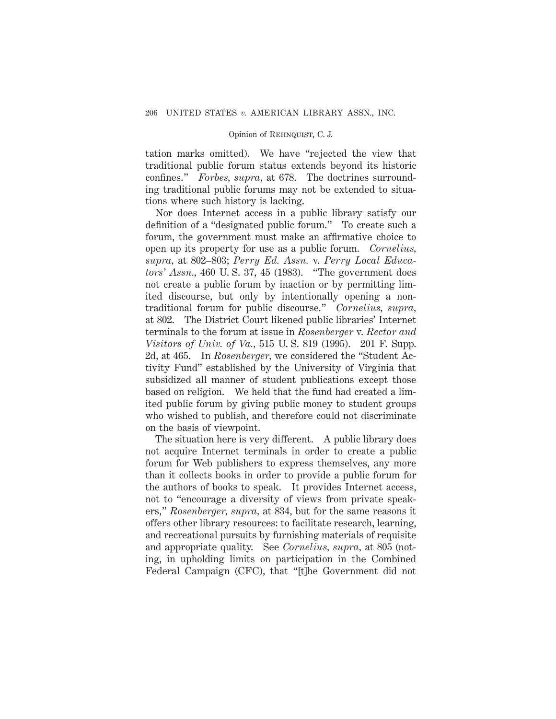tation marks omitted). We have "rejected the view that traditional public forum status extends beyond its historic confines." *Forbes, supra,* at 678. The doctrines surrounding traditional public forums may not be extended to situations where such history is lacking.

Nor does Internet access in a public library satisfy our definition of a "designated public forum." To create such a forum, the government must make an affirmative choice to open up its property for use as a public forum. *Cornelius, supra,* at 802–803; *Perry Ed. Assn.* v. *Perry Local Educators' Assn.,* 460 U. S. 37, 45 (1983). "The government does not create a public forum by inaction or by permitting limited discourse, but only by intentionally opening a nontraditional forum for public discourse." *Cornelius, supra,* at 802. The District Court likened public libraries' Internet terminals to the forum at issue in *Rosenberger* v. *Rector and Visitors of Univ. of Va.,* 515 U. S. 819 (1995). 201 F. Supp. 2d, at 465. In *Rosenberger,* we considered the "Student Activity Fund" established by the University of Virginia that subsidized all manner of student publications except those based on religion. We held that the fund had created a limited public forum by giving public money to student groups who wished to publish, and therefore could not discriminate on the basis of viewpoint.

The situation here is very different. A public library does not acquire Internet terminals in order to create a public forum for Web publishers to express themselves, any more than it collects books in order to provide a public forum for the authors of books to speak. It provides Internet access, not to "encourage a diversity of views from private speakers," *Rosenberger, supra,* at 834, but for the same reasons it offers other library resources: to facilitate research, learning, and recreational pursuits by furnishing materials of requisite and appropriate quality. See *Cornelius, supra,* at 805 (noting, in upholding limits on participation in the Combined Federal Campaign (CFC), that "[t]he Government did not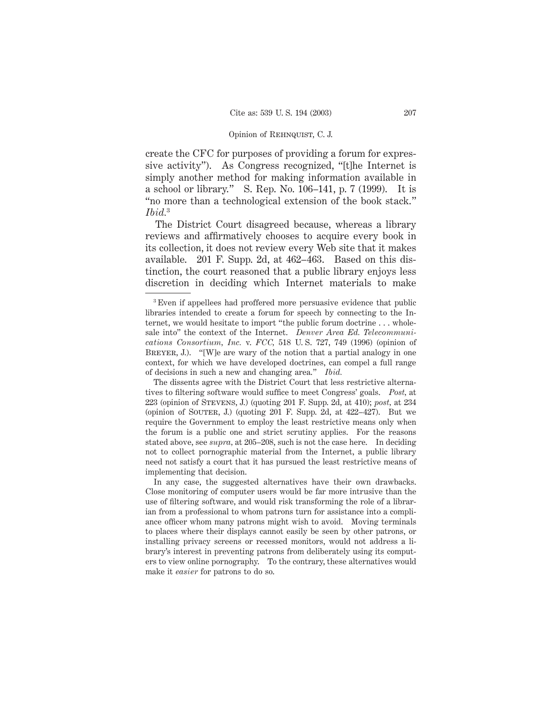create the CFC for purposes of providing a forum for expressive activity"). As Congress recognized, "[t]he Internet is simply another method for making information available in a school or library." S. Rep. No. 106–141, p. 7 (1999). It is "no more than a technological extension of the book stack." *Ibid.*<sup>3</sup>

The District Court disagreed because, whereas a library reviews and affirmatively chooses to acquire every book in its collection, it does not review every Web site that it makes available. 201 F. Supp. 2d, at 462–463. Based on this distinction, the court reasoned that a public library enjoys less discretion in deciding which Internet materials to make

<sup>3</sup> Even if appellees had proffered more persuasive evidence that public libraries intended to create a forum for speech by connecting to the Internet, we would hesitate to import "the public forum doctrine... wholesale into" the context of the Internet. *Denver Area Ed. Telecommunications Consortium, Inc.* v. *FCC,* 518 U. S. 727, 749 (1996) (opinion of BREYER, J.). "[W]e are wary of the notion that a partial analogy in one context, for which we have developed doctrines, can compel a full range of decisions in such a new and changing area." *Ibid.*

The dissents agree with the District Court that less restrictive alternatives to filtering software would suffice to meet Congress' goals. *Post,* at 223 (opinion of Stevens, J.) (quoting 201 F. Supp. 2d, at 410); *post,* at 234 (opinion of SOUTER, J.) (quoting 201 F. Supp. 2d, at  $422-427$ ). But we require the Government to employ the least restrictive means only when the forum is a public one and strict scrutiny applies. For the reasons stated above, see *supra,* at 205–208, such is not the case here. In deciding not to collect pornographic material from the Internet, a public library need not satisfy a court that it has pursued the least restrictive means of implementing that decision.

In any case, the suggested alternatives have their own drawbacks. Close monitoring of computer users would be far more intrusive than the use of filtering software, and would risk transforming the role of a librarian from a professional to whom patrons turn for assistance into a compliance officer whom many patrons might wish to avoid. Moving terminals to places where their displays cannot easily be seen by other patrons, or installing privacy screens or recessed monitors, would not address a library's interest in preventing patrons from deliberately using its computers to view online pornography. To the contrary, these alternatives would make it *easier* for patrons to do so.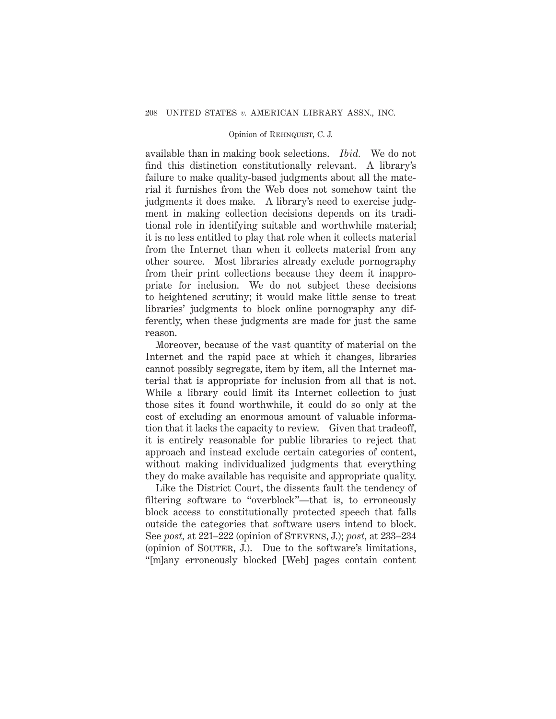available than in making book selections. *Ibid.* We do not find this distinction constitutionally relevant. A library's failure to make quality-based judgments about all the material it furnishes from the Web does not somehow taint the judgments it does make. A library's need to exercise judgment in making collection decisions depends on its traditional role in identifying suitable and worthwhile material; it is no less entitled to play that role when it collects material from the Internet than when it collects material from any other source. Most libraries already exclude pornography from their print collections because they deem it inappropriate for inclusion. We do not subject these decisions to heightened scrutiny; it would make little sense to treat libraries' judgments to block online pornography any differently, when these judgments are made for just the same reason.

Moreover, because of the vast quantity of material on the Internet and the rapid pace at which it changes, libraries cannot possibly segregate, item by item, all the Internet material that is appropriate for inclusion from all that is not. While a library could limit its Internet collection to just those sites it found worthwhile, it could do so only at the cost of excluding an enormous amount of valuable information that it lacks the capacity to review. Given that tradeoff, it is entirely reasonable for public libraries to reject that approach and instead exclude certain categories of content, without making individualized judgments that everything they do make available has requisite and appropriate quality.

Like the District Court, the dissents fault the tendency of filtering software to "overblock"—that is, to erroneously block access to constitutionally protected speech that falls outside the categories that software users intend to block. See *post,* at 221–222 (opinion of Stevens, J.); *post,* at 233–234 (opinion of SOUTER, J.). Due to the software's limitations, "[m]any erroneously blocked [Web] pages contain content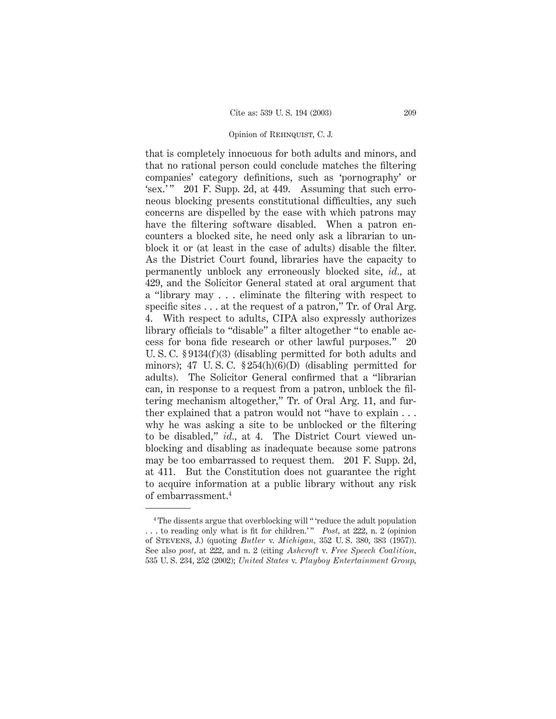that is completely innocuous for both adults and minors, and that no rational person could conclude matches the filtering companies' category definitions, such as 'pornography' or 'sex.'" 201 F. Supp. 2d, at 449. Assuming that such erroneous blocking presents constitutional difficulties, any such concerns are dispelled by the ease with which patrons may have the filtering software disabled. When a patron encounters a blocked site, he need only ask a librarian to unblock it or (at least in the case of adults) disable the filter. As the District Court found, libraries have the capacity to permanently unblock any erroneously blocked site, *id.,* at 429, and the Solicitor General stated at oral argument that a "library may . . . eliminate the filtering with respect to specific sites . . . at the request of a patron," Tr. of Oral Arg. 4. With respect to adults, CIPA also expressly authorizes library officials to "disable" a filter altogether "to enable access for bona fide research or other lawful purposes." 20 U. S. C. § 9134(f)(3) (disabling permitted for both adults and minors); 47 U.S.C.  $$254(h)(6)(D)$  (disabling permitted for adults). The Solicitor General confirmed that a "librarian can, in response to a request from a patron, unblock the filtering mechanism altogether," Tr. of Oral Arg. 11, and further explained that a patron would not "have to explain . . . why he was asking a site to be unblocked or the filtering to be disabled," *id.,* at 4. The District Court viewed unblocking and disabling as inadequate because some patrons may be too embarrassed to request them. 201 F. Supp. 2d, at 411. But the Constitution does not guarantee the right to acquire information at a public library without any risk of embarrassment.4

<sup>4</sup> The dissents argue that overblocking will " 'reduce the adult population ... to reading only what is fit for children.'" *Post*, at 222, n. 2 (opinion of Stevens, J.) (quoting *Butler* v. *Michigan,* 352 U. S. 380, 383 (1957)). See also *post,* at 222, and n. 2 (citing *Ashcroft* v. *Free Speech Coalition,* 535 U. S. 234, 252 (2002); *United States* v. *Playboy Entertainment Group,*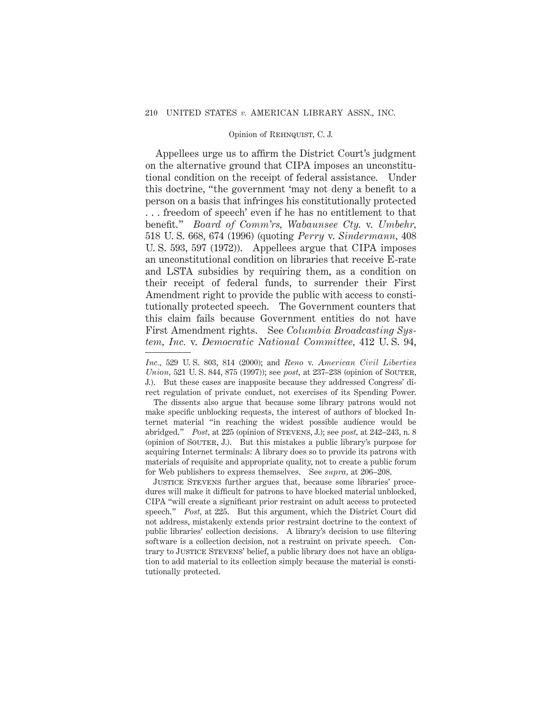Appellees urge us to affirm the District Court's judgment on the alternative ground that CIPA imposes an unconstitutional condition on the receipt of federal assistance. Under this doctrine, "the government 'may not deny a benefit to a person on a basis that infringes his constitutionally protected . . . freedom of speech' even if he has no entitlement to that benefit." *Board of Comm'rs, Wabaunsee Cty.* v. *Umbehr,* 518 U. S. 668, 674 (1996) (quoting *Perry* v. *Sindermann,* 408 U. S. 593, 597 (1972)). Appellees argue that CIPA imposes an unconstitutional condition on libraries that receive E-rate and LSTA subsidies by requiring them, as a condition on their receipt of federal funds, to surrender their First Amendment right to provide the public with access to constitutionally protected speech. The Government counters that this claim fails because Government entities do not have First Amendment rights. See *Columbia Broadcasting System, Inc.* v. *Democratic National Committee,* 412 U. S. 94,

*Inc.,* 529 U. S. 803, 814 (2000); and *Reno* v. *American Civil Liberties Union,* 521 U.S. 844, 875 (1997)); see *post*, at 237-238 (opinion of SOUTER, J.). But these cases are inapposite because they addressed Congress' direct regulation of private conduct, not exercises of its Spending Power.

The dissents also argue that because some library patrons would not make specific unblocking requests, the interest of authors of blocked Internet material "in reaching the widest possible audience would be abridged." *Post,* at 225 (opinion of Stevens, J.); see *post,* at 242–243, n. 8 (opinion of SOUTER, J.). But this mistakes a public library's purpose for acquiring Internet terminals: A library does so to provide its patrons with materials of requisite and appropriate quality, not to create a public forum for Web publishers to express themselves. See *supra,* at 206–208.

Justice Stevens further argues that, because some libraries' procedures will make it difficult for patrons to have blocked material unblocked, CIPA "will create a significant prior restraint on adult access to protected speech." *Post,* at 225. But this argument, which the District Court did not address, mistakenly extends prior restraint doctrine to the context of public libraries' collection decisions. A library's decision to use filtering software is a collection decision, not a restraint on private speech. Contrary to Justice Stevens' belief, a public library does not have an obligation to add material to its collection simply because the material is constitutionally protected.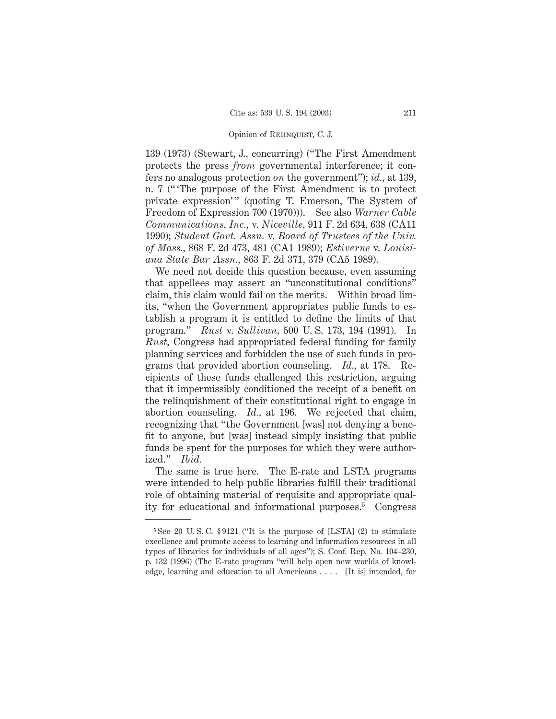139 (1973) (Stewart, J., concurring) ("The First Amendment protects the press *from* governmental interference; it confers no analogous protection *on* the government"); *id.,* at 139, n. 7 (" 'The purpose of the First Amendment is to protect private expression'" (quoting T. Emerson, The System of Freedom of Expression 700 (1970))). See also *Warner Cable Communications, Inc.,* v. *Niceville,* 911 F. 2d 634, 638 (CA11 1990); *Student Govt. Assn.* v. *Board of Trustees of the Univ. of Mass.,* 868 F. 2d 473, 481 (CA1 1989); *Estiverne* v. *Louisiana State Bar Assn.,* 863 F. 2d 371, 379 (CA5 1989).

We need not decide this question because, even assuming that appellees may assert an "unconstitutional conditions" claim, this claim would fail on the merits. Within broad limits, "when the Government appropriates public funds to establish a program it is entitled to define the limits of that program." *Rust* v. *Sullivan,* 500 U. S. 173, 194 (1991). In *Rust,* Congress had appropriated federal funding for family planning services and forbidden the use of such funds in programs that provided abortion counseling. *Id.,* at 178. Recipients of these funds challenged this restriction, arguing that it impermissibly conditioned the receipt of a benefit on the relinquishment of their constitutional right to engage in abortion counseling. *Id.,* at 196. We rejected that claim, recognizing that "the Government [was] not denying a benefit to anyone, but [was] instead simply insisting that public funds be spent for the purposes for which they were authorized." *Ibid.*

The same is true here. The E-rate and LSTA programs were intended to help public libraries fulfill their traditional role of obtaining material of requisite and appropriate quality for educational and informational purposes.<sup>5</sup> Congress

<sup>5</sup> See 20 U. S. C. § 9121 ("It is the purpose of [LSTA] (2) to stimulate excellence and promote access to learning and information resources in all types of libraries for individuals of all ages"); S. Conf. Rep. No. 104–230, p. 132 (1996) (The E-rate program "will help open new worlds of knowledge, learning and education to all Americans . . . . [It is] intended, for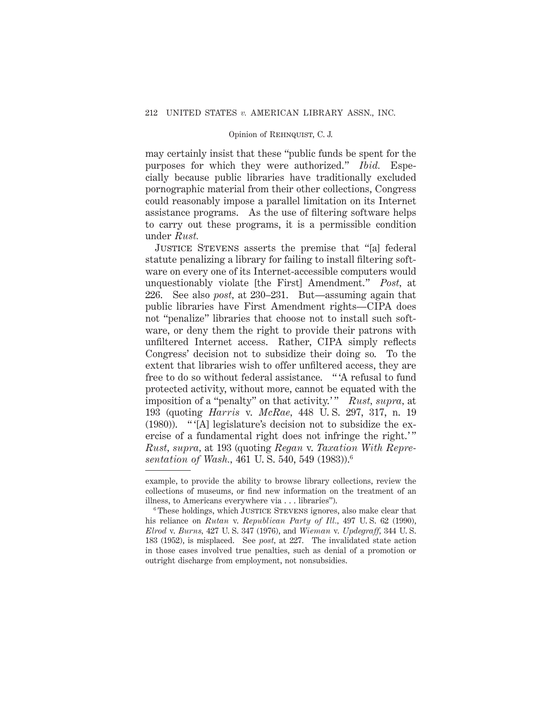may certainly insist that these "public funds be spent for the purposes for which they were authorized." *Ibid.* Especially because public libraries have traditionally excluded pornographic material from their other collections, Congress could reasonably impose a parallel limitation on its Internet assistance programs. As the use of filtering software helps to carry out these programs, it is a permissible condition under *Rust.*

Justice Stevens asserts the premise that "[a] federal statute penalizing a library for failing to install filtering software on every one of its Internet-accessible computers would unquestionably violate [the First] Amendment." *Post,* at 226. See also *post,* at 230–231. But—assuming again that public libraries have First Amendment rights—CIPA does not "penalize" libraries that choose not to install such software, or deny them the right to provide their patrons with unfiltered Internet access. Rather, CIPA simply reflects Congress' decision not to subsidize their doing so. To the extent that libraries wish to offer unfiltered access, they are free to do so without federal assistance. " 'A refusal to fund protected activity, without more, cannot be equated with the imposition of a "penalty" on that activity.'" *Rust, supra,* at 193 (quoting *Harris* v. *McRae,* 448 U. S. 297, 317, n. 19 (1980)). " '[A] legislature's decision not to subsidize the exercise of a fundamental right does not infringe the right.'" *Rust, supra,* at 193 (quoting *Regan* v. *Taxation With Representation of Wash.,* 461 U. S. 540, 549 (1983)).6

example, to provide the ability to browse library collections, review the collections of museums, or find new information on the treatment of an illness, to Americans everywhere via...libraries").

<sup>&</sup>lt;sup>6</sup> These holdings, which JUSTICE STEVENS ignores, also make clear that his reliance on *Rutan* v. *Republican Party of Ill.,* 497 U. S. 62 (1990), *Elrod* v. *Burns,* 427 U. S. 347 (1976), and *Wieman* v. *Updegraff,* 344 U. S. 183 (1952), is misplaced. See *post,* at 227. The invalidated state action in those cases involved true penalties, such as denial of a promotion or outright discharge from employment, not nonsubsidies.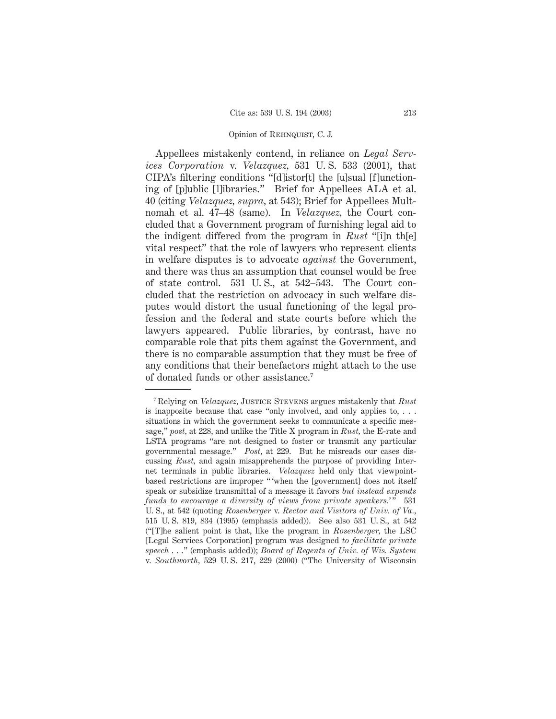Appellees mistakenly contend, in reliance on *Legal Services Corporation* v. *Velazquez,* 531 U. S. 533 (2001), that CIPA's filtering conditions "[d]istor[t] the [u]sual [f]unctioning of [p]ublic [l]ibraries." Brief for Appellees ALA et al. 40 (citing *Velazquez, supra,* at 543); Brief for Appellees Multnomah et al. 47–48 (same). In *Velazquez,* the Court concluded that a Government program of furnishing legal aid to the indigent differed from the program in *Rust* "[i]n th[e] vital respect" that the role of lawyers who represent clients in welfare disputes is to advocate *against* the Government, and there was thus an assumption that counsel would be free of state control. 531 U. S., at 542–543. The Court concluded that the restriction on advocacy in such welfare disputes would distort the usual functioning of the legal profession and the federal and state courts before which the lawyers appeared. Public libraries, by contrast, have no comparable role that pits them against the Government, and there is no comparable assumption that they must be free of any conditions that their benefactors might attach to the use of donated funds or other assistance.7

<sup>7</sup> Relying on *Velazquez,* Justice Stevens argues mistakenly that *Rust* is inapposite because that case "only involved, and only applies to, . . . situations in which the government seeks to communicate a specific message," *post,* at 228, and unlike the Title X program in *Rust,* the E-rate and LSTA programs "are not designed to foster or transmit any particular governmental message." *Post,* at 229. But he misreads our cases discussing *Rust,* and again misapprehends the purpose of providing Internet terminals in public libraries. *Velazquez* held only that viewpointbased restrictions are improper " 'when the [government] does not itself speak or subsidize transmittal of a message it favors *but instead expends funds to encourage a diversity of views from private speakers.*' " 531 U. S., at 542 (quoting *Rosenberger* v. *Rector and Visitors of Univ. of Va.,* 515 U. S. 819, 834 (1995) (emphasis added)). See also 531 U. S., at 542 ("[T]he salient point is that, like the program in *Rosenberger,* the LSC [Legal Services Corporation] program was designed *to facilitate private speech* . . ." (emphasis added)); *Board of Regents of Univ. of Wis. System* v. *Southworth,* 529 U. S. 217, 229 (2000) ("The University of Wisconsin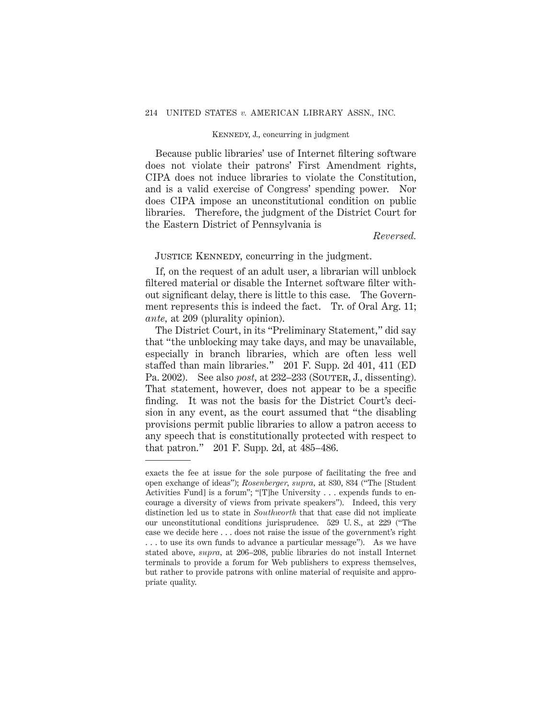### KENNEDY, J., concurring in judgment

Because public libraries' use of Internet filtering software does not violate their patrons' First Amendment rights, CIPA does not induce libraries to violate the Constitution, and is a valid exercise of Congress' spending power. Nor does CIPA impose an unconstitutional condition on public libraries. Therefore, the judgment of the District Court for the Eastern District of Pennsylvania is

### *Reversed.*

# JUSTICE KENNEDY, concurring in the judgment.

If, on the request of an adult user, a librarian will unblock filtered material or disable the Internet software filter without significant delay, there is little to this case. The Government represents this is indeed the fact. Tr. of Oral Arg. 11; *ante,* at 209 (plurality opinion).

The District Court, in its "Preliminary Statement," did say that "the unblocking may take days, and may be unavailable, especially in branch libraries, which are often less well staffed than main libraries." 201 F. Supp. 2d 401, 411 (ED Pa. 2002). See also *post,* at 232–233 (Souter, J., dissenting). That statement, however, does not appear to be a specific finding. It was not the basis for the District Court's decision in any event, as the court assumed that "the disabling provisions permit public libraries to allow a patron access to any speech that is constitutionally protected with respect to that patron." 201 F. Supp. 2d, at 485–486.

exacts the fee at issue for the sole purpose of facilitating the free and open exchange of ideas"); *Rosenberger, supra,* at 830, 834 ("The [Student Activities Fund] is a forum"; "[T]he University . . . expends funds to encourage a diversity of views from private speakers"). Indeed, this very distinction led us to state in *Southworth* that that case did not implicate our unconstitutional conditions jurisprudence. 529 U. S., at 229 ("The case we decide here . . . does not raise the issue of the government's right . . . to use its own funds to advance a particular message"). As we have stated above, *supra,* at 206–208, public libraries do not install Internet terminals to provide a forum for Web publishers to express themselves, but rather to provide patrons with online material of requisite and appropriate quality.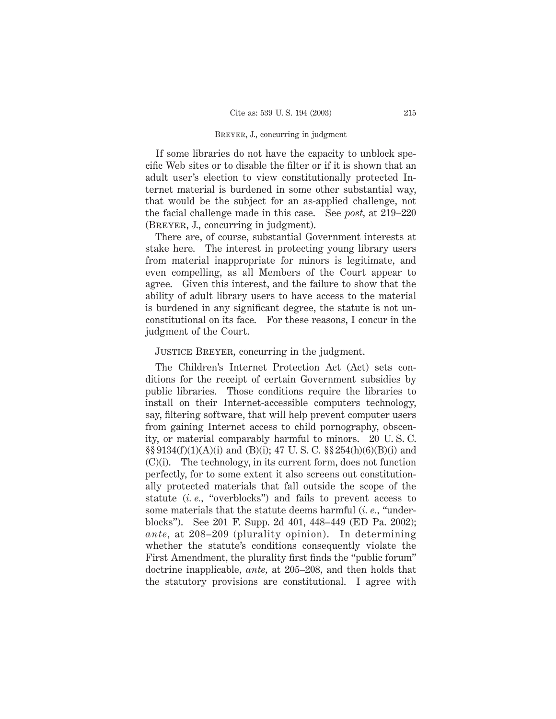If some libraries do not have the capacity to unblock specific Web sites or to disable the filter or if it is shown that an adult user's election to view constitutionally protected Internet material is burdened in some other substantial way, that would be the subject for an as-applied challenge, not the facial challenge made in this case. See *post,* at 219–220 (Breyer, J., concurring in judgment).

There are, of course, substantial Government interests at stake here. The interest in protecting young library users from material inappropriate for minors is legitimate, and even compelling, as all Members of the Court appear to agree. Given this interest, and the failure to show that the ability of adult library users to have access to the material is burdened in any significant degree, the statute is not unconstitutional on its face. For these reasons, I concur in the judgment of the Court.

# JUSTICE BREYER, concurring in the judgment.

The Children's Internet Protection Act (Act) sets conditions for the receipt of certain Government subsidies by public libraries. Those conditions require the libraries to install on their Internet-accessible computers technology, say, filtering software, that will help prevent computer users from gaining Internet access to child pornography, obscenity, or material comparably harmful to minors. 20 U. S. C.  $\S § 9134(f)(1)(A)(i)$  and (B)(i); 47 U.S.C.  $\S § 254(h)(6)(B)(i)$  and (C)(i). The technology, in its current form, does not function perfectly, for to some extent it also screens out constitutionally protected materials that fall outside the scope of the statute (*i. e.,* "overblocks") and fails to prevent access to some materials that the statute deems harmful (*i. e.,* "underblocks"). See 201 F. Supp. 2d 401, 448–449 (ED Pa. 2002); *ante,* at 208–209 (plurality opinion). In determining whether the statute's conditions consequently violate the First Amendment, the plurality first finds the "public forum" doctrine inapplicable, *ante,* at 205–208, and then holds that the statutory provisions are constitutional. I agree with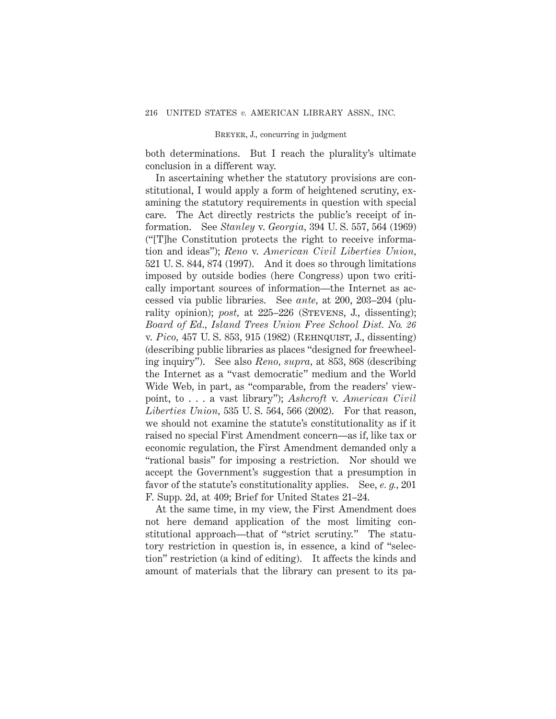both determinations. But I reach the plurality's ultimate conclusion in a different way.

In ascertaining whether the statutory provisions are constitutional, I would apply a form of heightened scrutiny, examining the statutory requirements in question with special care. The Act directly restricts the public's receipt of information. See *Stanley* v. *Georgia,* 394 U. S. 557, 564 (1969) ("[T]he Constitution protects the right to receive information and ideas"); *Reno* v. *American Civil Liberties Union,* 521 U. S. 844, 874 (1997). And it does so through limitations imposed by outside bodies (here Congress) upon two critically important sources of information—the Internet as accessed via public libraries. See *ante,* at 200, 203–204 (plurality opinion); *post*, at 225–226 (STEVENS, J., dissenting); *Board of Ed., Island Trees Union Free School Dist. No. 26* v. *Pico,* 457 U. S. 853, 915 (1982) (Rehnquist, J., dissenting) (describing public libraries as places "designed for freewheeling inquiry"). See also *Reno, supra,* at 853, 868 (describing the Internet as a "vast democratic" medium and the World Wide Web, in part, as "comparable, from the readers' viewpoint, to . . . a vast library"); *Ashcroft* v. *American Civil Liberties Union,* 535 U. S. 564, 566 (2002). For that reason, we should not examine the statute's constitutionality as if it raised no special First Amendment concern—as if, like tax or economic regulation, the First Amendment demanded only a "rational basis" for imposing a restriction. Nor should we accept the Government's suggestion that a presumption in favor of the statute's constitutionality applies. See, *e. g.,* 201 F. Supp. 2d, at 409; Brief for United States 21–24.

At the same time, in my view, the First Amendment does not here demand application of the most limiting constitutional approach—that of "strict scrutiny." The statutory restriction in question is, in essence, a kind of "selection" restriction (a kind of editing). It affects the kinds and amount of materials that the library can present to its pa-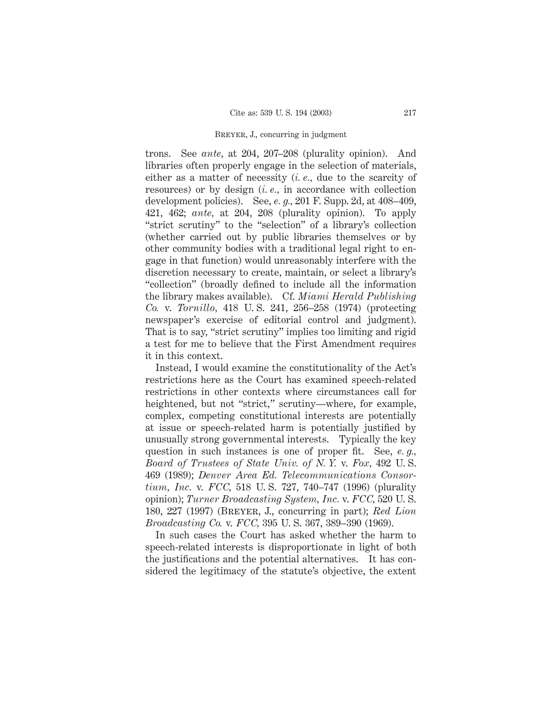trons. See *ante,* at 204, 207–208 (plurality opinion). And libraries often properly engage in the selection of materials, either as a matter of necessity (*i. e.,* due to the scarcity of resources) or by design (*i. e.,* in accordance with collection development policies). See, *e. g.,* 201 F. Supp. 2d, at 408–409, 421, 462; *ante,* at 204, 208 (plurality opinion). To apply "strict scrutiny" to the "selection" of a library's collection (whether carried out by public libraries themselves or by other community bodies with a traditional legal right to engage in that function) would unreasonably interfere with the discretion necessary to create, maintain, or select a library's "collection" (broadly defined to include all the information the library makes available). Cf. *Miami Herald Publishing Co.* v. *Tornillo,* 418 U. S. 241, 256–258 (1974) (protecting newspaper's exercise of editorial control and judgment). That is to say, "strict scrutiny" implies too limiting and rigid a test for me to believe that the First Amendment requires it in this context.

Instead, I would examine the constitutionality of the Act's restrictions here as the Court has examined speech-related restrictions in other contexts where circumstances call for heightened, but not "strict," scrutiny—where, for example, complex, competing constitutional interests are potentially at issue or speech-related harm is potentially justified by unusually strong governmental interests. Typically the key question in such instances is one of proper fit. See, *e. g., Board of Trustees of State Univ. of N. Y.* v. *Fox,* 492 U. S. 469 (1989); *Denver Area Ed. Telecommunications Consortium, Inc.* v. *FCC,* 518 U. S. 727, 740–747 (1996) (plurality opinion); *Turner Broadcasting System, Inc.* v. *FCC,* 520 U. S. 180, 227 (1997) (Breyer, J., concurring in part); *Red Lion Broadcasting Co.* v. *FCC,* 395 U. S. 367, 389–390 (1969).

In such cases the Court has asked whether the harm to speech-related interests is disproportionate in light of both the justifications and the potential alternatives. It has considered the legitimacy of the statute's objective, the extent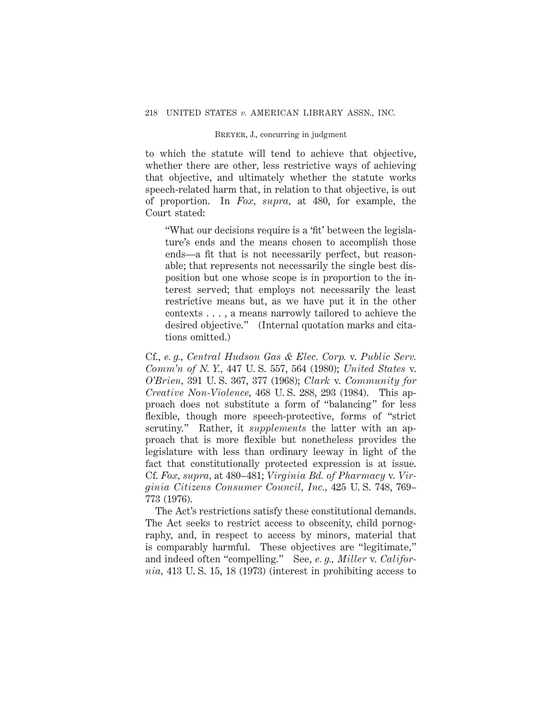to which the statute will tend to achieve that objective, whether there are other, less restrictive ways of achieving that objective, and ultimately whether the statute works speech-related harm that, in relation to that objective, is out of proportion. In *Fox, supra,* at 480, for example, the Court stated:

"What our decisions require is a 'fit' between the legislature's ends and the means chosen to accomplish those ends—a fit that is not necessarily perfect, but reasonable; that represents not necessarily the single best disposition but one whose scope is in proportion to the interest served; that employs not necessarily the least restrictive means but, as we have put it in the other contexts . . . , a means narrowly tailored to achieve the desired objective." (Internal quotation marks and citations omitted.)

Cf., *e. g., Central Hudson Gas & Elec. Corp.* v. *Public Serv. Comm'n of N. Y.,* 447 U. S. 557, 564 (1980); *United States* v. *O'Brien,* 391 U. S. 367, 377 (1968); *Clark* v. *Community for Creative Non-Violence,* 468 U. S. 288, 293 (1984). This approach does not substitute a form of "balancing" for less flexible, though more speech-protective, forms of "strict scrutiny." Rather, it *supplements* the latter with an approach that is more flexible but nonetheless provides the legislature with less than ordinary leeway in light of the fact that constitutionally protected expression is at issue. Cf. *Fox, supra,* at 480–481; *Virginia Bd. of Pharmacy* v. *Virginia Citizens Consumer Council, Inc.,* 425 U. S. 748, 769– 773 (1976).

The Act's restrictions satisfy these constitutional demands. The Act seeks to restrict access to obscenity, child pornography, and, in respect to access by minors, material that is comparably harmful. These objectives are "legitimate," and indeed often "compelling." See, *e. g., Miller* v. *California,* 413 U. S. 15, 18 (1973) (interest in prohibiting access to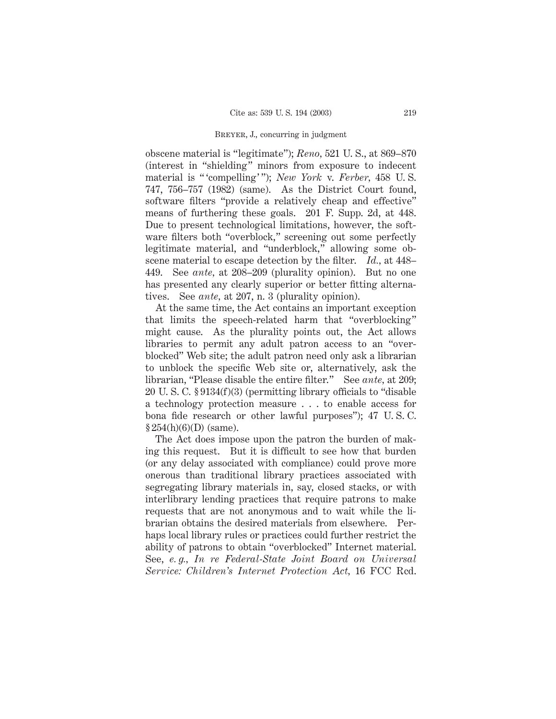obscene material is "legitimate"); *Reno,* 521 U. S., at 869–870 (interest in "shielding" minors from exposure to indecent material is " 'compelling' "); *New York* v. *Ferber,* 458 U. S. 747, 756–757 (1982) (same). As the District Court found, software filters "provide a relatively cheap and effective" means of furthering these goals. 201 F. Supp. 2d, at 448. Due to present technological limitations, however, the software filters both "overblock," screening out some perfectly legitimate material, and "underblock," allowing some obscene material to escape detection by the filter. *Id.,* at 448– 449. See *ante,* at 208–209 (plurality opinion). But no one has presented any clearly superior or better fitting alternatives. See *ante,* at 207, n. 3 (plurality opinion).

At the same time, the Act contains an important exception that limits the speech-related harm that "overblocking" might cause. As the plurality points out, the Act allows libraries to permit any adult patron access to an "overblocked" Web site; the adult patron need only ask a librarian to unblock the specific Web site or, alternatively, ask the librarian, "Please disable the entire filter." See *ante,* at 209; 20 U. S. C. § 9134(f)(3) (permitting library officials to "disable a technology protection measure . . . to enable access for bona fide research or other lawful purposes"); 47 U. S. C.  $§254(h)(6)(D)$  (same).

The Act does impose upon the patron the burden of making this request. But it is difficult to see how that burden (or any delay associated with compliance) could prove more onerous than traditional library practices associated with segregating library materials in, say, closed stacks, or with interlibrary lending practices that require patrons to make requests that are not anonymous and to wait while the librarian obtains the desired materials from elsewhere. Perhaps local library rules or practices could further restrict the ability of patrons to obtain "overblocked" Internet material. See, *e. g., In re Federal-State Joint Board on Universal Service: Children's Internet Protection Act,* 16 FCC Rcd.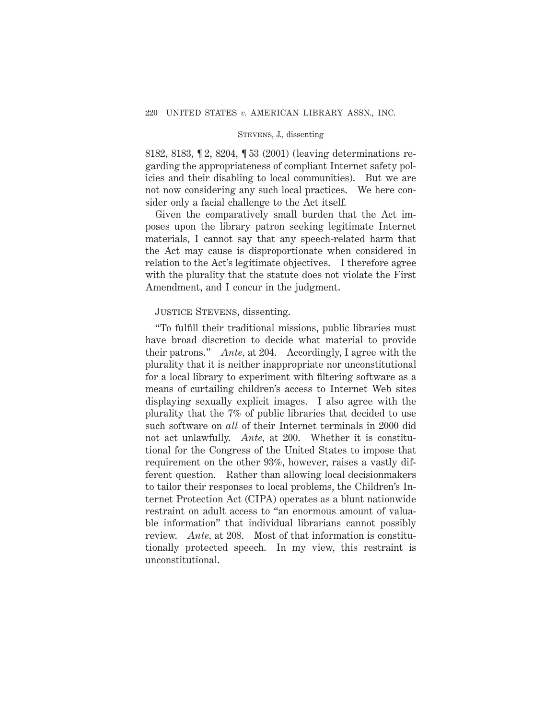8182, 8183, ¶ 2, 8204, ¶ 53 (2001) (leaving determinations regarding the appropriateness of compliant Internet safety policies and their disabling to local communities). But we are not now considering any such local practices. We here consider only a facial challenge to the Act itself.

Given the comparatively small burden that the Act imposes upon the library patron seeking legitimate Internet materials, I cannot say that any speech-related harm that the Act may cause is disproportionate when considered in relation to the Act's legitimate objectives. I therefore agree with the plurality that the statute does not violate the First Amendment, and I concur in the judgment.

# JUSTICE STEVENS, dissenting.

"To fulfill their traditional missions, public libraries must have broad discretion to decide what material to provide their patrons." *Ante,* at 204. Accordingly, I agree with the plurality that it is neither inappropriate nor unconstitutional for a local library to experiment with filtering software as a means of curtailing children's access to Internet Web sites displaying sexually explicit images. I also agree with the plurality that the 7% of public libraries that decided to use such software on *all* of their Internet terminals in 2000 did not act unlawfully. *Ante,* at 200. Whether it is constitutional for the Congress of the United States to impose that requirement on the other 93%, however, raises a vastly different question. Rather than allowing local decisionmakers to tailor their responses to local problems, the Children's Internet Protection Act (CIPA) operates as a blunt nationwide restraint on adult access to "an enormous amount of valuable information" that individual librarians cannot possibly review. *Ante,* at 208. Most of that information is constitutionally protected speech. In my view, this restraint is unconstitutional.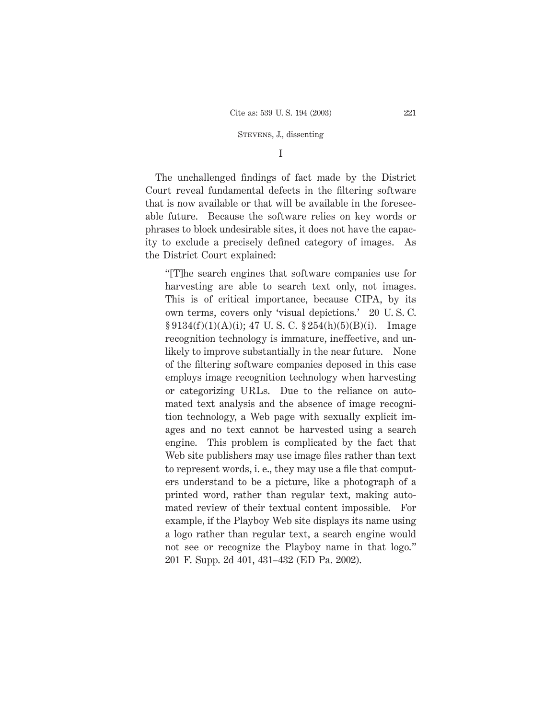I

The unchallenged findings of fact made by the District Court reveal fundamental defects in the filtering software that is now available or that will be available in the foreseeable future. Because the software relies on key words or phrases to block undesirable sites, it does not have the capacity to exclude a precisely defined category of images. As the District Court explained:

"[T]he search engines that software companies use for harvesting are able to search text only, not images. This is of critical importance, because CIPA, by its own terms, covers only 'visual depictions.' 20 U. S. C.  $§ 9134(f)(1)(A)(i); 47 U.S. C. § 254(h)(5)(B)(i).$  Image recognition technology is immature, ineffective, and unlikely to improve substantially in the near future. None of the filtering software companies deposed in this case employs image recognition technology when harvesting or categorizing URLs. Due to the reliance on automated text analysis and the absence of image recognition technology, a Web page with sexually explicit images and no text cannot be harvested using a search engine. This problem is complicated by the fact that Web site publishers may use image files rather than text to represent words, i. e., they may use a file that computers understand to be a picture, like a photograph of a printed word, rather than regular text, making automated review of their textual content impossible. For example, if the Playboy Web site displays its name using a logo rather than regular text, a search engine would not see or recognize the Playboy name in that logo." 201 F. Supp. 2d 401, 431–432 (ED Pa. 2002).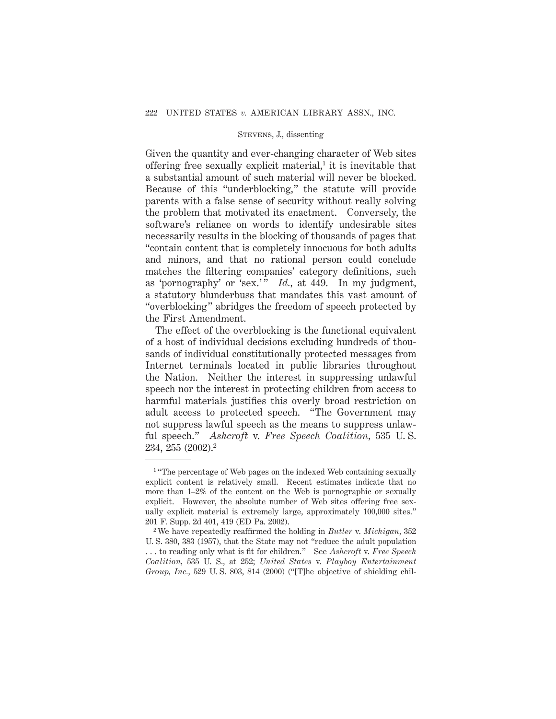Given the quantity and ever-changing character of Web sites offering free sexually explicit material, $\mathbf{I}$  it is inevitable that a substantial amount of such material will never be blocked. Because of this "underblocking," the statute will provide parents with a false sense of security without really solving the problem that motivated its enactment. Conversely, the software's reliance on words to identify undesirable sites necessarily results in the blocking of thousands of pages that "contain content that is completely innocuous for both adults and minors, and that no rational person could conclude matches the filtering companies' category definitions, such as 'pornography' or 'sex.'" *Id.*, at 449. In my judgment, a statutory blunderbuss that mandates this vast amount of "overblocking" abridges the freedom of speech protected by the First Amendment.

The effect of the overblocking is the functional equivalent of a host of individual decisions excluding hundreds of thousands of individual constitutionally protected messages from Internet terminals located in public libraries throughout the Nation. Neither the interest in suppressing unlawful speech nor the interest in protecting children from access to harmful materials justifies this overly broad restriction on adult access to protected speech. "The Government may not suppress lawful speech as the means to suppress unlawful speech." *Ashcroft* v. *Free Speech Coalition,* 535 U. S. 234, 255 (2002).2

<sup>&</sup>lt;sup>1</sup> "The percentage of Web pages on the indexed Web containing sexually explicit content is relatively small. Recent estimates indicate that no more than 1–2% of the content on the Web is pornographic or sexually explicit. However, the absolute number of Web sites offering free sexually explicit material is extremely large, approximately 100,000 sites." 201 F. Supp. 2d 401, 419 (ED Pa. 2002).

<sup>2</sup> We have repeatedly reaffirmed the holding in *Butler* v. *Michigan,* 352 U. S. 380, 383 (1957), that the State may not "reduce the adult population . . . to reading only what is fit for children." See *Ashcroft* v. *Free Speech Coalition,* 535 U. S., at 252; *United States* v. *Playboy Entertainment Group, Inc.,* 529 U. S. 803, 814 (2000) ("[T]he objective of shielding chil-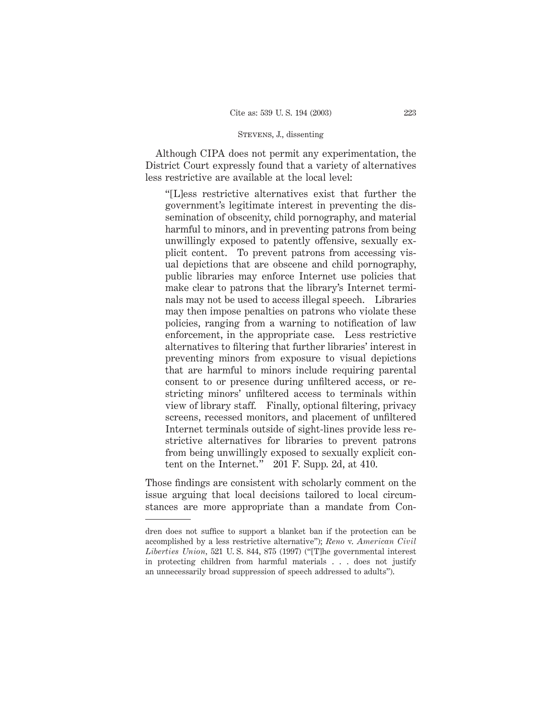Although CIPA does not permit any experimentation, the District Court expressly found that a variety of alternatives less restrictive are available at the local level:

"[L]ess restrictive alternatives exist that further the government's legitimate interest in preventing the dissemination of obscenity, child pornography, and material harmful to minors, and in preventing patrons from being unwillingly exposed to patently offensive, sexually explicit content. To prevent patrons from accessing visual depictions that are obscene and child pornography, public libraries may enforce Internet use policies that make clear to patrons that the library's Internet terminals may not be used to access illegal speech. Libraries may then impose penalties on patrons who violate these policies, ranging from a warning to notification of law enforcement, in the appropriate case. Less restrictive alternatives to filtering that further libraries' interest in preventing minors from exposure to visual depictions that are harmful to minors include requiring parental consent to or presence during unfiltered access, or restricting minors' unfiltered access to terminals within view of library staff. Finally, optional filtering, privacy screens, recessed monitors, and placement of unfiltered Internet terminals outside of sight-lines provide less restrictive alternatives for libraries to prevent patrons from being unwillingly exposed to sexually explicit content on the Internet." 201 F. Supp. 2d, at 410.

Those findings are consistent with scholarly comment on the issue arguing that local decisions tailored to local circumstances are more appropriate than a mandate from Con-

dren does not suffice to support a blanket ban if the protection can be accomplished by a less restrictive alternative"); *Reno* v. *American Civil Liberties Union,* 521 U. S. 844, 875 (1997) ("[T]he governmental interest in protecting children from harmful materials... does not justify an unnecessarily broad suppression of speech addressed to adults").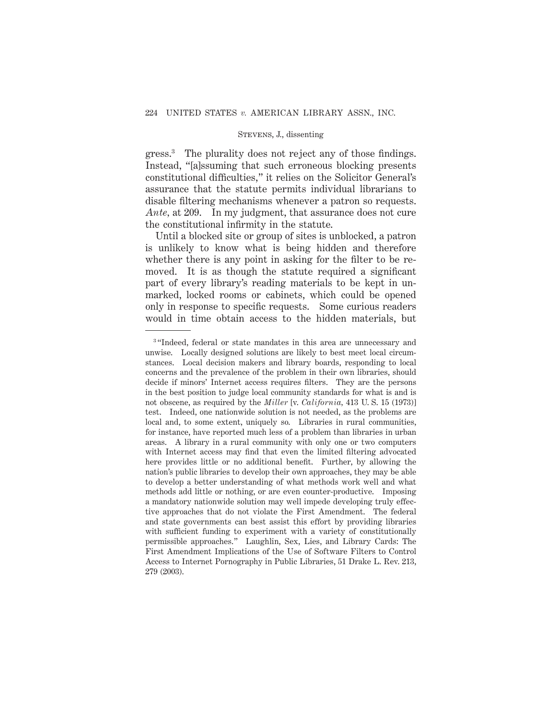gress.3 The plurality does not reject any of those findings. Instead, "[a]ssuming that such erroneous blocking presents constitutional difficulties," it relies on the Solicitor General's assurance that the statute permits individual librarians to disable filtering mechanisms whenever a patron so requests. *Ante,* at 209. In my judgment, that assurance does not cure the constitutional infirmity in the statute.

Until a blocked site or group of sites is unblocked, a patron is unlikely to know what is being hidden and therefore whether there is any point in asking for the filter to be removed. It is as though the statute required a significant part of every library's reading materials to be kept in unmarked, locked rooms or cabinets, which could be opened only in response to specific requests. Some curious readers would in time obtain access to the hidden materials, but

<sup>&</sup>lt;sup>3</sup> "Indeed, federal or state mandates in this area are unnecessary and unwise. Locally designed solutions are likely to best meet local circumstances. Local decision makers and library boards, responding to local concerns and the prevalence of the problem in their own libraries, should decide if minors' Internet access requires filters. They are the persons in the best position to judge local community standards for what is and is not obscene, as required by the *Miller* [v. *California,* 413 U. S. 15 (1973)] test. Indeed, one nationwide solution is not needed, as the problems are local and, to some extent, uniquely so. Libraries in rural communities, for instance, have reported much less of a problem than libraries in urban areas. A library in a rural community with only one or two computers with Internet access may find that even the limited filtering advocated here provides little or no additional benefit. Further, by allowing the nation's public libraries to develop their own approaches, they may be able to develop a better understanding of what methods work well and what methods add little or nothing, or are even counter-productive. Imposing a mandatory nationwide solution may well impede developing truly effective approaches that do not violate the First Amendment. The federal and state governments can best assist this effort by providing libraries with sufficient funding to experiment with a variety of constitutionally permissible approaches." Laughlin, Sex, Lies, and Library Cards: The First Amendment Implications of the Use of Software Filters to Control Access to Internet Pornography in Public Libraries, 51 Drake L. Rev. 213, 279 (2003).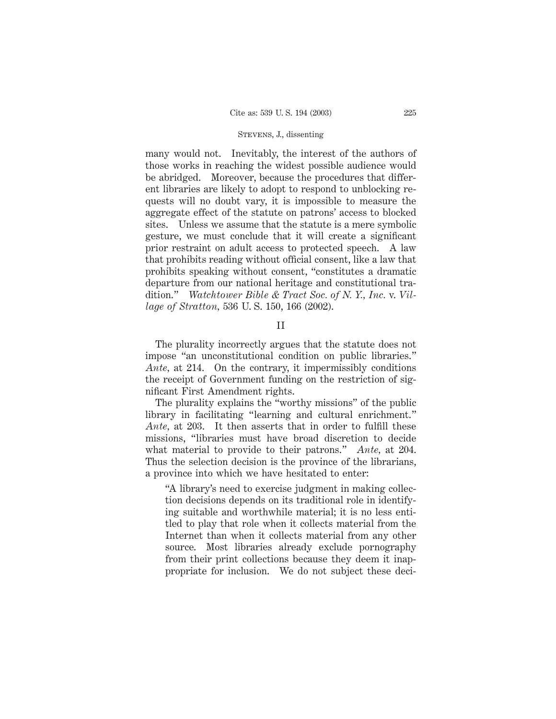many would not. Inevitably, the interest of the authors of those works in reaching the widest possible audience would be abridged. Moreover, because the procedures that different libraries are likely to adopt to respond to unblocking requests will no doubt vary, it is impossible to measure the aggregate effect of the statute on patrons' access to blocked sites. Unless we assume that the statute is a mere symbolic gesture, we must conclude that it will create a significant prior restraint on adult access to protected speech. A law that prohibits reading without official consent, like a law that prohibits speaking without consent, "constitutes a dramatic departure from our national heritage and constitutional tradition." *Watchtower Bible & Tract Soc. of N. Y., Inc.* v. *Village of Stratton,* 536 U. S. 150, 166 (2002).

### II

The plurality incorrectly argues that the statute does not impose "an unconstitutional condition on public libraries." *Ante,* at 214. On the contrary, it impermissibly conditions the receipt of Government funding on the restriction of significant First Amendment rights.

The plurality explains the "worthy missions" of the public library in facilitating "learning and cultural enrichment." *Ante,* at 203. It then asserts that in order to fulfill these missions, "libraries must have broad discretion to decide what material to provide to their patrons." *Ante,* at 204. Thus the selection decision is the province of the librarians, a province into which we have hesitated to enter:

"A library's need to exercise judgment in making collection decisions depends on its traditional role in identifying suitable and worthwhile material; it is no less entitled to play that role when it collects material from the Internet than when it collects material from any other source. Most libraries already exclude pornography from their print collections because they deem it inappropriate for inclusion. We do not subject these deci-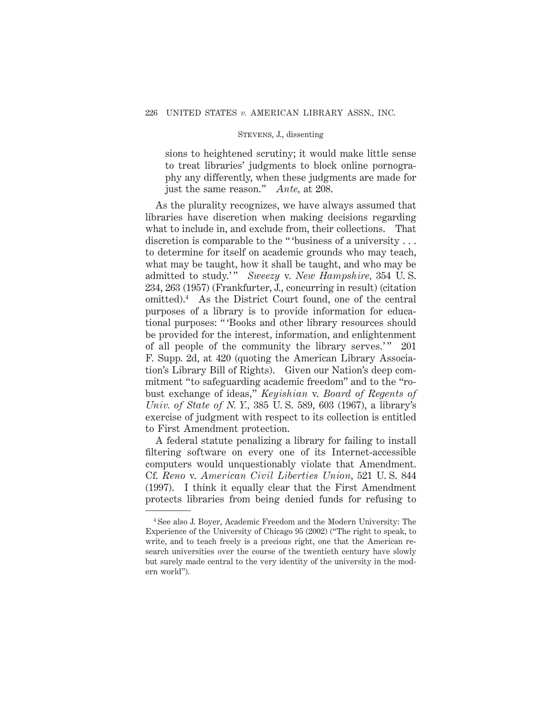sions to heightened scrutiny; it would make little sense to treat libraries' judgments to block online pornography any differently, when these judgments are made for just the same reason." *Ante,* at 208.

As the plurality recognizes, we have always assumed that libraries have discretion when making decisions regarding what to include in, and exclude from, their collections. That discretion is comparable to the "'business of a university... to determine for itself on academic grounds who may teach, what may be taught, how it shall be taught, and who may be admitted to study.'" *Sweezy* v. *New Hampshire*, 354 U.S. 234, 263 (1957) (Frankfurter, J., concurring in result) (citation omitted).4 As the District Court found, one of the central purposes of a library is to provide information for educational purposes: " 'Books and other library resources should be provided for the interest, information, and enlightenment of all people of the community the library serves.'" 201 F. Supp. 2d, at 420 (quoting the American Library Association's Library Bill of Rights). Given our Nation's deep commitment "to safeguarding academic freedom" and to the "robust exchange of ideas," *Keyishian* v. *Board of Regents of Univ. of State of N. Y.,* 385 U. S. 589, 603 (1967), a library's exercise of judgment with respect to its collection is entitled to First Amendment protection.

A federal statute penalizing a library for failing to install filtering software on every one of its Internet-accessible computers would unquestionably violate that Amendment. Cf. *Reno* v. *American Civil Liberties Union,* 521 U. S. 844 (1997). I think it equally clear that the First Amendment protects libraries from being denied funds for refusing to

<sup>4</sup> See also J. Boyer, Academic Freedom and the Modern University: The Experience of the University of Chicago 95 (2002) ("The right to speak, to write, and to teach freely is a precious right, one that the American research universities over the course of the twentieth century have slowly but surely made central to the very identity of the university in the modern world").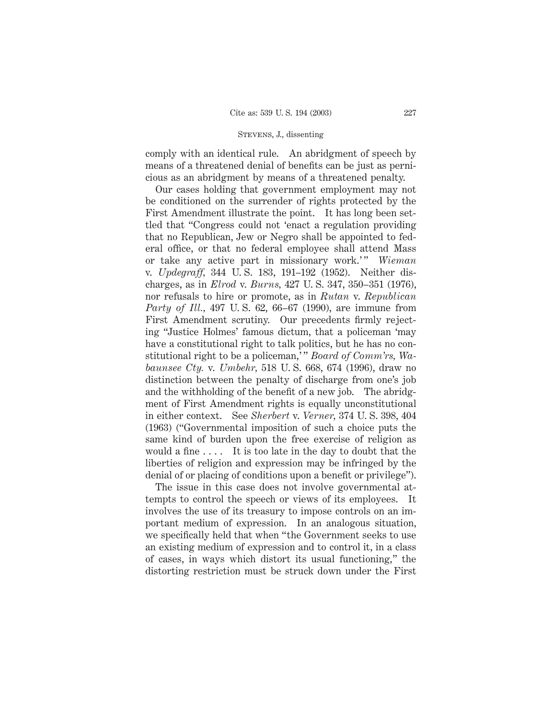comply with an identical rule. An abridgment of speech by means of a threatened denial of benefits can be just as pernicious as an abridgment by means of a threatened penalty.

Our cases holding that government employment may not be conditioned on the surrender of rights protected by the First Amendment illustrate the point. It has long been settled that "Congress could not 'enact a regulation providing that no Republican, Jew or Negro shall be appointed to federal office, or that no federal employee shall attend Mass or take any active part in missionary work.'" Wieman v. *Updegraff,* 344 U. S. 183, 191–192 (1952). Neither discharges, as in *Elrod* v. *Burns,* 427 U. S. 347, 350–351 (1976), nor refusals to hire or promote, as in *Rutan* v. *Republican Party of Ill.,* 497 U. S. 62, 66–67 (1990), are immune from First Amendment scrutiny. Our precedents firmly rejecting "Justice Holmes' famous dictum, that a policeman 'may have a constitutional right to talk politics, but he has no constitutional right to be a policeman,'" *Board of Comm'rs, Wabaunsee Cty.* v. *Umbehr,* 518 U. S. 668, 674 (1996), draw no distinction between the penalty of discharge from one's job and the withholding of the benefit of a new job. The abridgment of First Amendment rights is equally unconstitutional in either context. See *Sherbert* v. *Verner,* 374 U. S. 398, 404 (1963) ("Governmental imposition of such a choice puts the same kind of burden upon the free exercise of religion as would a fine  $\dots$  It is too late in the day to doubt that the liberties of religion and expression may be infringed by the denial of or placing of conditions upon a benefit or privilege").

The issue in this case does not involve governmental attempts to control the speech or views of its employees. It involves the use of its treasury to impose controls on an important medium of expression. In an analogous situation, we specifically held that when "the Government seeks to use an existing medium of expression and to control it, in a class of cases, in ways which distort its usual functioning," the distorting restriction must be struck down under the First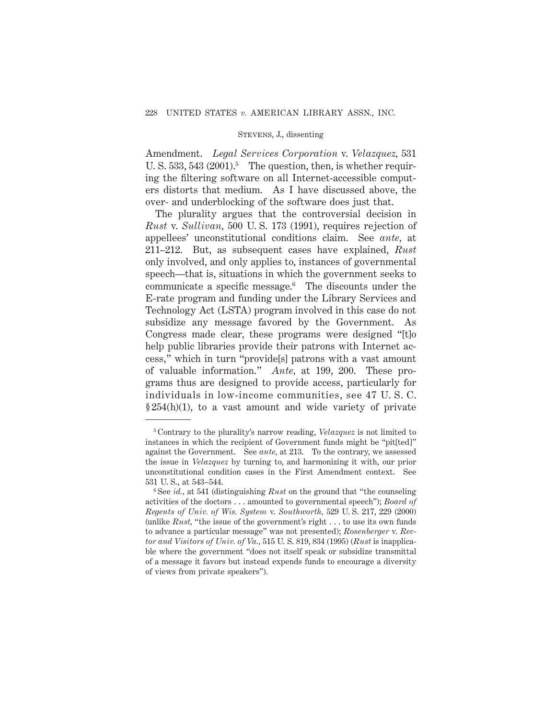Amendment. *Legal Services Corporation* v. *Velazquez,* 531 U. S. 533, 543  $(2001)^5$  The question, then, is whether requiring the filtering software on all Internet-accessible computers distorts that medium. As I have discussed above, the over- and underblocking of the software does just that.

The plurality argues that the controversial decision in *Rust* v. *Sullivan,* 500 U. S. 173 (1991), requires rejection of appellees' unconstitutional conditions claim. See *ante,* at 211–212. But, as subsequent cases have explained, *Rust* only involved, and only applies to, instances of governmental speech—that is, situations in which the government seeks to communicate a specific message.6 The discounts under the E-rate program and funding under the Library Services and Technology Act (LSTA) program involved in this case do not subsidize any message favored by the Government. As Congress made clear, these programs were designed "[t]o help public libraries provide their patrons with Internet access," which in turn "provide[s] patrons with a vast amount of valuable information." *Ante,* at 199, 200. These programs thus are designed to provide access, particularly for individuals in low-income communities, see 47 U. S. C.  $§254(h)(1)$ , to a vast amount and wide variety of private

<sup>5</sup> Contrary to the plurality's narrow reading, *Velazquez* is not limited to instances in which the recipient of Government funds might be "pit[ted]" against the Government. See *ante,* at 213. To the contrary, we assessed the issue in *Velazquez* by turning to, and harmonizing it with, our prior unconstitutional condition cases in the First Amendment context. See 531 U. S., at 543–544.

<sup>6</sup> See *id.,* at 541 (distinguishing *Rust* on the ground that "the counseling activities of the doctors . . . amounted to governmental speech"); *Board of Regents of Univ. of Wis. System* v. *Southworth,* 529 U. S. 217, 229 (2000) (unlike *Rust,* "the issue of the government's right . . . to use its own funds to advance a particular message" was not presented); *Rosenberger* v. *Rector and Visitors of Univ. of Va.,* 515 U. S. 819, 834 (1995) (*Rust* is inapplicable where the government "does not itself speak or subsidize transmittal of a message it favors but instead expends funds to encourage a diversity of views from private speakers").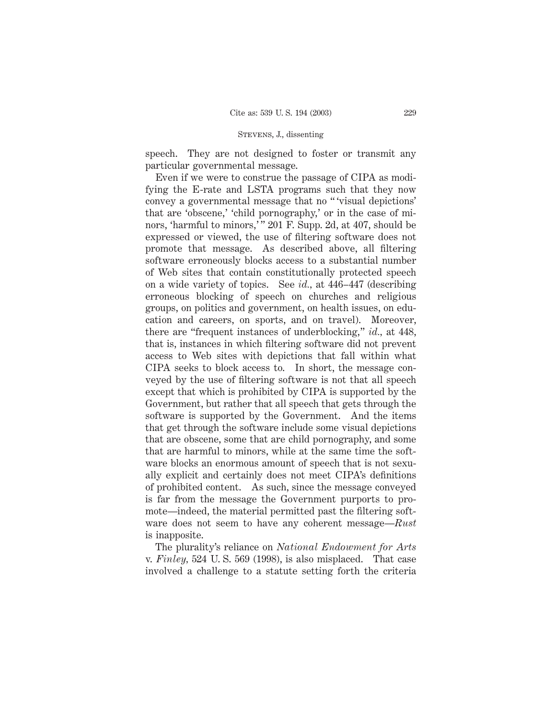speech. They are not designed to foster or transmit any particular governmental message.

Even if we were to construe the passage of CIPA as modifying the E-rate and LSTA programs such that they now convey a governmental message that no " 'visual depictions' that are 'obscene,' 'child pornography,' or in the case of minors, 'harmful to minors,' " 201 F. Supp. 2d, at 407, should be expressed or viewed, the use of filtering software does not promote that message. As described above, all filtering software erroneously blocks access to a substantial number of Web sites that contain constitutionally protected speech on a wide variety of topics. See *id.,* at 446–447 (describing erroneous blocking of speech on churches and religious groups, on politics and government, on health issues, on education and careers, on sports, and on travel). Moreover, there are "frequent instances of underblocking," *id.,* at 448, that is, instances in which filtering software did not prevent access to Web sites with depictions that fall within what CIPA seeks to block access to. In short, the message conveyed by the use of filtering software is not that all speech except that which is prohibited by CIPA is supported by the Government, but rather that all speech that gets through the software is supported by the Government. And the items that get through the software include some visual depictions that are obscene, some that are child pornography, and some that are harmful to minors, while at the same time the software blocks an enormous amount of speech that is not sexually explicit and certainly does not meet CIPA's definitions of prohibited content. As such, since the message conveyed is far from the message the Government purports to promote—indeed, the material permitted past the filtering software does not seem to have any coherent message—*Rust* is inapposite.

The plurality's reliance on *National Endowment for Arts* v. *Finley,* 524 U. S. 569 (1998), is also misplaced. That case involved a challenge to a statute setting forth the criteria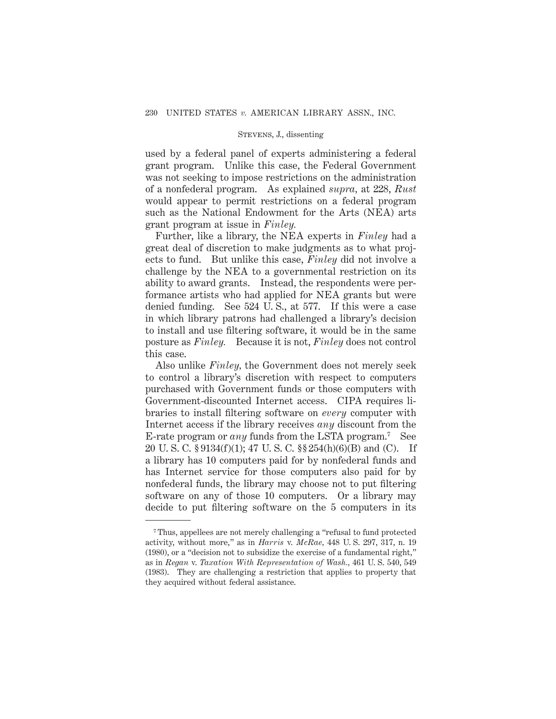used by a federal panel of experts administering a federal grant program. Unlike this case, the Federal Government was not seeking to impose restrictions on the administration of a nonfederal program. As explained *supra,* at 228, *Rust* would appear to permit restrictions on a federal program such as the National Endowment for the Arts (NEA) arts grant program at issue in *Finley.*

Further, like a library, the NEA experts in *Finley* had a great deal of discretion to make judgments as to what projects to fund. But unlike this case, *Finley* did not involve a challenge by the NEA to a governmental restriction on its ability to award grants. Instead, the respondents were performance artists who had applied for NEA grants but were denied funding. See 524 U. S., at 577. If this were a case in which library patrons had challenged a library's decision to install and use filtering software, it would be in the same posture as *Finley.* Because it is not, *Finley* does not control this case.

Also unlike *Finley,* the Government does not merely seek to control a library's discretion with respect to computers purchased with Government funds or those computers with Government-discounted Internet access. CIPA requires libraries to install filtering software on *every* computer with Internet access if the library receives *any* discount from the E-rate program or *any* funds from the LSTA program.7 See 20 U. S. C. § 9134(f)(1); 47 U. S. C. §§ 254(h)(6)(B) and (C). If a library has 10 computers paid for by nonfederal funds and has Internet service for those computers also paid for by nonfederal funds, the library may choose not to put filtering software on any of those 10 computers. Or a library may decide to put filtering software on the 5 computers in its

<sup>7</sup> Thus, appellees are not merely challenging a "refusal to fund protected activity, without more," as in *Harris* v. *McRae,* 448 U. S. 297, 317, n. 19 (1980), or a "decision not to subsidize the exercise of a fundamental right," as in *Regan* v. *Taxation With Representation of Wash.,* 461 U. S. 540, 549 (1983). They are challenging a restriction that applies to property that they acquired without federal assistance.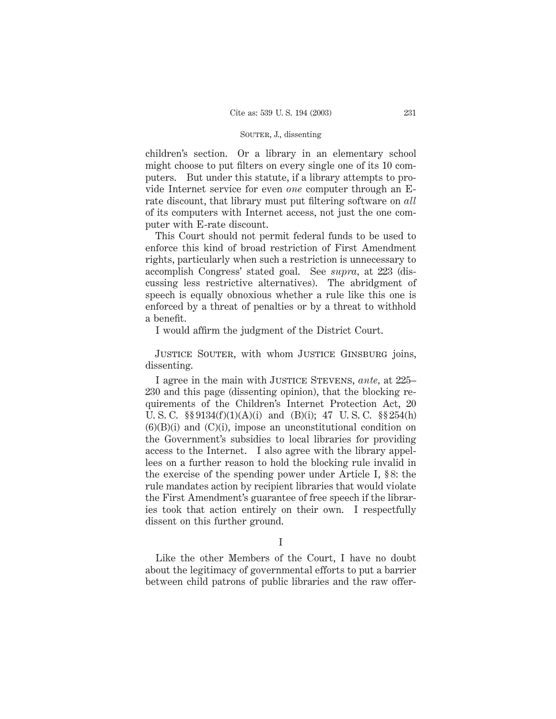children's section. Or a library in an elementary school might choose to put filters on every single one of its 10 computers. But under this statute, if a library attempts to provide Internet service for even *one* computer through an Erate discount, that library must put filtering software on *all* of its computers with Internet access, not just the one computer with E-rate discount.

This Court should not permit federal funds to be used to enforce this kind of broad restriction of First Amendment rights, particularly when such a restriction is unnecessary to accomplish Congress' stated goal. See *supra,* at 223 (discussing less restrictive alternatives). The abridgment of speech is equally obnoxious whether a rule like this one is enforced by a threat of penalties or by a threat to withhold a benefit.

I would affirm the judgment of the District Court.

Justice Souter, with whom Justice Ginsburg joins, dissenting.

I agree in the main with Justice Stevens, *ante,* at 225– 230 and this page (dissenting opinion), that the blocking requirements of the Children's Internet Protection Act, 20 U. S. C. §§ 9134(f)(1)(A)(i) and (B)(i); 47 U. S. C. §§ 254(h)  $(6)(B)(i)$  and  $(C)(i)$ , impose an unconstitutional condition on the Government's subsidies to local libraries for providing access to the Internet. I also agree with the library appellees on a further reason to hold the blocking rule invalid in the exercise of the spending power under Article I, § 8: the rule mandates action by recipient libraries that would violate the First Amendment's guarantee of free speech if the libraries took that action entirely on their own. I respectfully dissent on this further ground.

Like the other Members of the Court, I have no doubt about the legitimacy of governmental efforts to put a barrier between child patrons of public libraries and the raw offer-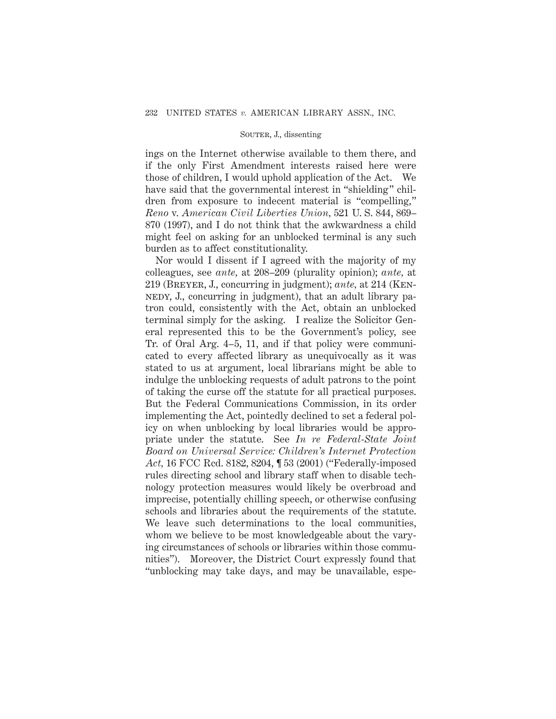ings on the Internet otherwise available to them there, and if the only First Amendment interests raised here were those of children, I would uphold application of the Act. We have said that the governmental interest in "shielding" children from exposure to indecent material is "compelling," *Reno* v. *American Civil Liberties Union,* 521 U. S. 844, 869– 870 (1997), and I do not think that the awkwardness a child might feel on asking for an unblocked terminal is any such burden as to affect constitutionality.

Nor would I dissent if I agreed with the majority of my colleagues, see *ante,* at 208–209 (plurality opinion); *ante,* at 219 (Breyer, J., concurring in judgment); *ante,* at 214 (Kennedy, J., concurring in judgment), that an adult library patron could, consistently with the Act, obtain an unblocked terminal simply for the asking. I realize the Solicitor General represented this to be the Government's policy, see Tr. of Oral Arg. 4–5, 11, and if that policy were communicated to every affected library as unequivocally as it was stated to us at argument, local librarians might be able to indulge the unblocking requests of adult patrons to the point of taking the curse off the statute for all practical purposes. But the Federal Communications Commission, in its order implementing the Act, pointedly declined to set a federal policy on when unblocking by local libraries would be appropriate under the statute. See *In re Federal-State Joint Board on Universal Service: Children's Internet Protection Act,* 16 FCC Rcd. 8182, 8204, ¶ 53 (2001) ("Federally-imposed rules directing school and library staff when to disable technology protection measures would likely be overbroad and imprecise, potentially chilling speech, or otherwise confusing schools and libraries about the requirements of the statute. We leave such determinations to the local communities, whom we believe to be most knowledgeable about the varying circumstances of schools or libraries within those communities"). Moreover, the District Court expressly found that "unblocking may take days, and may be unavailable, espe-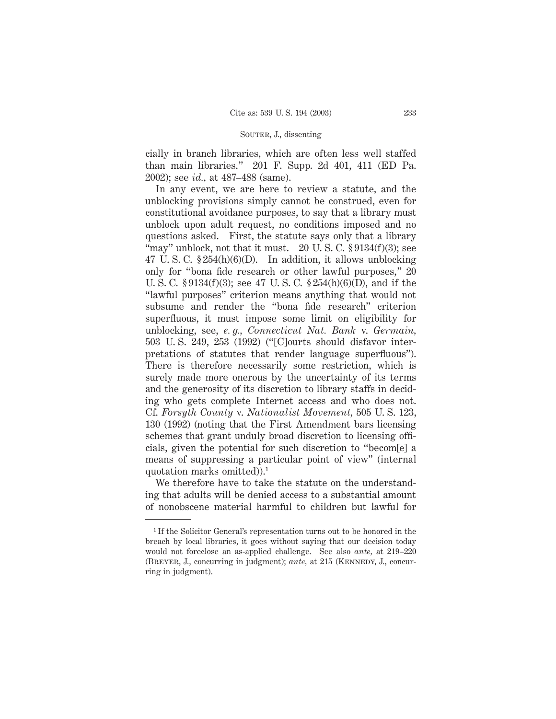cially in branch libraries, which are often less well staffed than main libraries." 201 F. Supp. 2d 401, 411 (ED Pa. 2002); see *id.,* at 487–488 (same).

In any event, we are here to review a statute, and the unblocking provisions simply cannot be construed, even for constitutional avoidance purposes, to say that a library must unblock upon adult request, no conditions imposed and no questions asked. First, the statute says only that a library "may" unblock, not that it must.  $20 \text{ U.S. C. }$  \$9134(f)(3); see 47 U. S. C. § 254(h)(6)(D). In addition, it allows unblocking only for "bona fide research or other lawful purposes," 20 U. S. C. § 9134(f)(3); see 47 U. S. C. § 254(h)(6)(D), and if the "lawful purposes" criterion means anything that would not subsume and render the "bona fide research" criterion superfluous, it must impose some limit on eligibility for unblocking, see, *e. g., Connecticut Nat. Bank* v. *Germain,* 503 U. S. 249, 253 (1992) ("[C]ourts should disfavor interpretations of statutes that render language superfluous"). There is therefore necessarily some restriction, which is surely made more onerous by the uncertainty of its terms and the generosity of its discretion to library staffs in deciding who gets complete Internet access and who does not. Cf. *Forsyth County* v. *Nationalist Movement,* 505 U. S. 123, 130 (1992) (noting that the First Amendment bars licensing schemes that grant unduly broad discretion to licensing officials, given the potential for such discretion to "becom[e] a means of suppressing a particular point of view" (internal quotation marks omitted)).1

We therefore have to take the statute on the understanding that adults will be denied access to a substantial amount of nonobscene material harmful to children but lawful for

<sup>&</sup>lt;sup>1</sup> If the Solicitor General's representation turns out to be honored in the breach by local libraries, it goes without saying that our decision today would not foreclose an as-applied challenge. See also *ante,* at 219–220 (Breyer, J., concurring in judgment); *ante,* at 215 (Kennedy, J., concurring in judgment).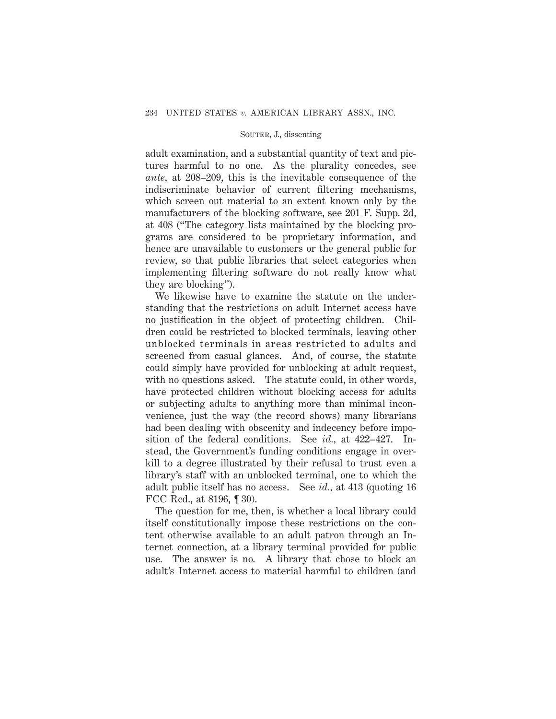adult examination, and a substantial quantity of text and pictures harmful to no one. As the plurality concedes, see *ante,* at 208–209, this is the inevitable consequence of the indiscriminate behavior of current filtering mechanisms, which screen out material to an extent known only by the manufacturers of the blocking software, see 201 F. Supp. 2d, at 408 ("The category lists maintained by the blocking programs are considered to be proprietary information, and hence are unavailable to customers or the general public for review, so that public libraries that select categories when implementing filtering software do not really know what they are blocking").

We likewise have to examine the statute on the understanding that the restrictions on adult Internet access have no justification in the object of protecting children. Children could be restricted to blocked terminals, leaving other unblocked terminals in areas restricted to adults and screened from casual glances. And, of course, the statute could simply have provided for unblocking at adult request, with no questions asked. The statute could, in other words, have protected children without blocking access for adults or subjecting adults to anything more than minimal inconvenience, just the way (the record shows) many librarians had been dealing with obscenity and indecency before imposition of the federal conditions. See *id.,* at 422–427. Instead, the Government's funding conditions engage in overkill to a degree illustrated by their refusal to trust even a library's staff with an unblocked terminal, one to which the adult public itself has no access. See *id.,* at 413 (quoting 16 FCC Rcd., at 8196, ¶ 30).

The question for me, then, is whether a local library could itself constitutionally impose these restrictions on the content otherwise available to an adult patron through an Internet connection, at a library terminal provided for public use. The answer is no. A library that chose to block an adult's Internet access to material harmful to children (and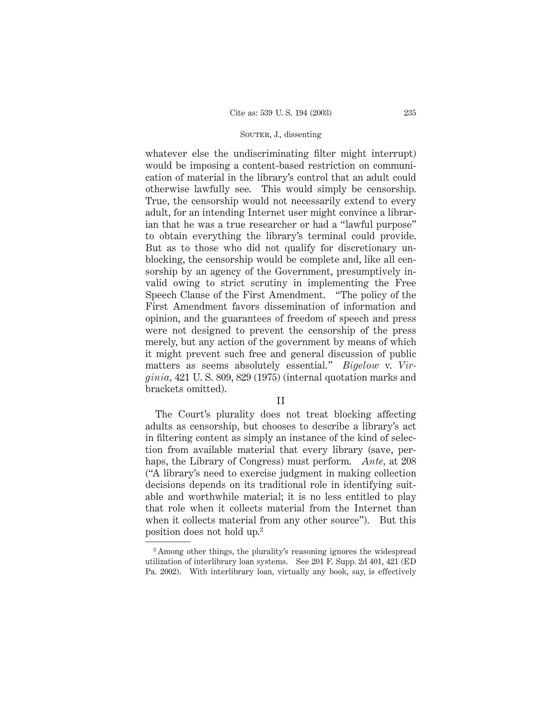whatever else the undiscriminating filter might interrupt) would be imposing a content-based restriction on communication of material in the library's control that an adult could otherwise lawfully see. This would simply be censorship. True, the censorship would not necessarily extend to every adult, for an intending Internet user might convince a librarian that he was a true researcher or had a "lawful purpose" to obtain everything the library's terminal could provide. But as to those who did not qualify for discretionary unblocking, the censorship would be complete and, like all censorship by an agency of the Government, presumptively invalid owing to strict scrutiny in implementing the Free Speech Clause of the First Amendment. "The policy of the First Amendment favors dissemination of information and opinion, and the guarantees of freedom of speech and press were not designed to prevent the censorship of the press merely, but any action of the government by means of which it might prevent such free and general discussion of public matters as seems absolutely essential." *Bigelow* v. *Virginia,* 421 U. S. 809, 829 (1975) (internal quotation marks and brackets omitted).

### II

The Court's plurality does not treat blocking affecting adults as censorship, but chooses to describe a library's act in filtering content as simply an instance of the kind of selection from available material that every library (save, perhaps, the Library of Congress) must perform. *Ante,* at 208 ("A library's need to exercise judgment in making collection decisions depends on its traditional role in identifying suitable and worthwhile material; it is no less entitled to play that role when it collects material from the Internet than when it collects material from any other source"). But this position does not hold up.2

<sup>2</sup> Among other things, the plurality's reasoning ignores the widespread utilization of interlibrary loan systems. See 201 F. Supp. 2d 401, 421 (ED Pa. 2002). With interlibrary loan, virtually any book, say, is effectively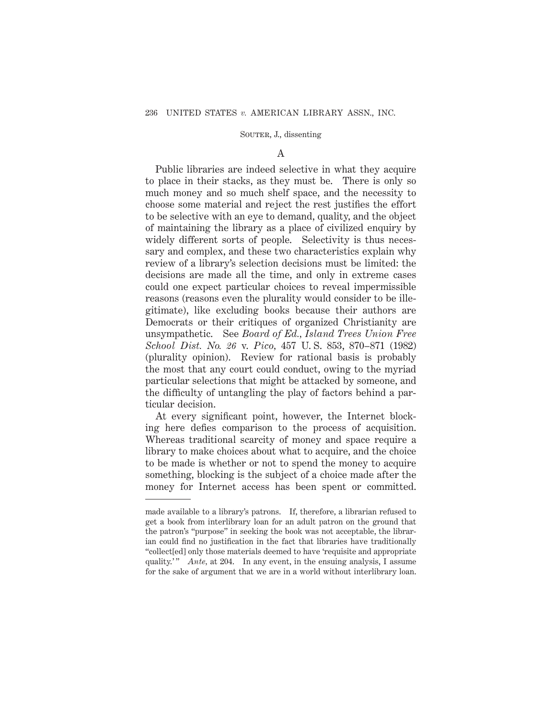### A

Public libraries are indeed selective in what they acquire to place in their stacks, as they must be. There is only so much money and so much shelf space, and the necessity to choose some material and reject the rest justifies the effort to be selective with an eye to demand, quality, and the object of maintaining the library as a place of civilized enquiry by widely different sorts of people. Selectivity is thus necessary and complex, and these two characteristics explain why review of a library's selection decisions must be limited: the decisions are made all the time, and only in extreme cases could one expect particular choices to reveal impermissible reasons (reasons even the plurality would consider to be illegitimate), like excluding books because their authors are Democrats or their critiques of organized Christianity are unsympathetic. See *Board of Ed., Island Trees Union Free School Dist. No. 26* v. *Pico,* 457 U. S. 853, 870–871 (1982) (plurality opinion). Review for rational basis is probably the most that any court could conduct, owing to the myriad particular selections that might be attacked by someone, and the difficulty of untangling the play of factors behind a particular decision.

At every significant point, however, the Internet blocking here defies comparison to the process of acquisition. Whereas traditional scarcity of money and space require a library to make choices about what to acquire, and the choice to be made is whether or not to spend the money to acquire something, blocking is the subject of a choice made after the money for Internet access has been spent or committed.

made available to a library's patrons. If, therefore, a librarian refused to get a book from interlibrary loan for an adult patron on the ground that the patron's "purpose" in seeking the book was not acceptable, the librarian could find no justification in the fact that libraries have traditionally "collect[ed] only those materials deemed to have 'requisite and appropriate quality.'" *Ante*, at 204. In any event, in the ensuing analysis, I assume for the sake of argument that we are in a world without interlibrary loan.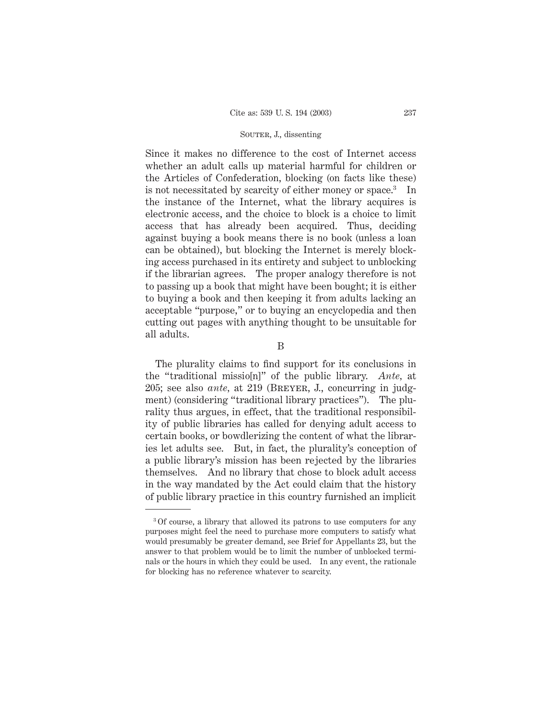Since it makes no difference to the cost of Internet access whether an adult calls up material harmful for children or the Articles of Confederation, blocking (on facts like these) is not necessitated by scarcity of either money or space.<sup>3</sup> In the instance of the Internet, what the library acquires is electronic access, and the choice to block is a choice to limit access that has already been acquired. Thus, deciding against buying a book means there is no book (unless a loan can be obtained), but blocking the Internet is merely blocking access purchased in its entirety and subject to unblocking if the librarian agrees. The proper analogy therefore is not to passing up a book that might have been bought; it is either to buying a book and then keeping it from adults lacking an acceptable "purpose," or to buying an encyclopedia and then cutting out pages with anything thought to be unsuitable for all adults.

The plurality claims to find support for its conclusions in the "traditional missio[n]" of the public library. *Ante,* at 205; see also *ante,* at 219 (Breyer, J., concurring in judgment) (considering "traditional library practices"). The plurality thus argues, in effect, that the traditional responsibility of public libraries has called for denying adult access to certain books, or bowdlerizing the content of what the libraries let adults see. But, in fact, the plurality's conception of a public library's mission has been rejected by the libraries themselves. And no library that chose to block adult access in the way mandated by the Act could claim that the history of public library practice in this country furnished an implicit

B

<sup>&</sup>lt;sup>3</sup> Of course, a library that allowed its patrons to use computers for any purposes might feel the need to purchase more computers to satisfy what would presumably be greater demand, see Brief for Appellants 23, but the answer to that problem would be to limit the number of unblocked terminals or the hours in which they could be used. In any event, the rationale for blocking has no reference whatever to scarcity.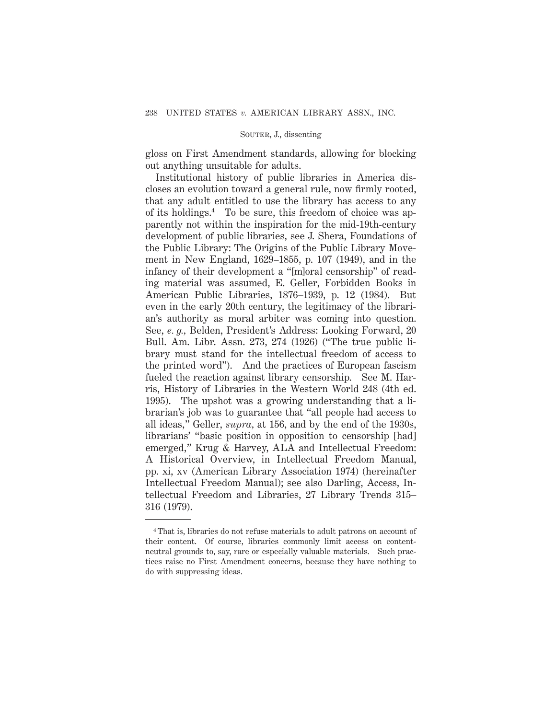gloss on First Amendment standards, allowing for blocking out anything unsuitable for adults.

Institutional history of public libraries in America discloses an evolution toward a general rule, now firmly rooted, that any adult entitled to use the library has access to any of its holdings.4 To be sure, this freedom of choice was apparently not within the inspiration for the mid-19th-century development of public libraries, see J. Shera, Foundations of the Public Library: The Origins of the Public Library Movement in New England, 1629–1855, p. 107 (1949), and in the infancy of their development a "[m]oral censorship" of reading material was assumed, E. Geller, Forbidden Books in American Public Libraries, 1876–1939, p. 12 (1984). But even in the early 20th century, the legitimacy of the librarian's authority as moral arbiter was coming into question. See, *e. g.,* Belden, President's Address: Looking Forward, 20 Bull. Am. Libr. Assn. 273, 274 (1926) ("The true public library must stand for the intellectual freedom of access to the printed word"). And the practices of European fascism fueled the reaction against library censorship. See M. Harris, History of Libraries in the Western World 248 (4th ed. 1995). The upshot was a growing understanding that a librarian's job was to guarantee that "all people had access to all ideas," Geller, *supra,* at 156, and by the end of the 1930s, librarians' "basic position in opposition to censorship [had] emerged," Krug & Harvey, ALA and Intellectual Freedom: A Historical Overview, in Intellectual Freedom Manual, pp. xi, xv (American Library Association 1974) (hereinafter Intellectual Freedom Manual); see also Darling, Access, Intellectual Freedom and Libraries, 27 Library Trends 315– 316 (1979).

<sup>4</sup> That is, libraries do not refuse materials to adult patrons on account of their content. Of course, libraries commonly limit access on contentneutral grounds to, say, rare or especially valuable materials. Such practices raise no First Amendment concerns, because they have nothing to do with suppressing ideas.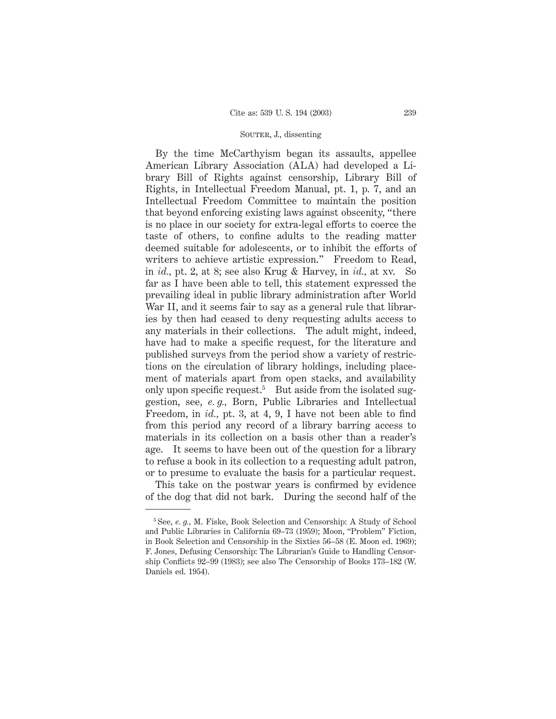By the time McCarthyism began its assaults, appellee American Library Association (ALA) had developed a Library Bill of Rights against censorship, Library Bill of Rights, in Intellectual Freedom Manual, pt. 1, p. 7, and an Intellectual Freedom Committee to maintain the position that beyond enforcing existing laws against obscenity, "there is no place in our society for extra-legal efforts to coerce the taste of others, to confine adults to the reading matter deemed suitable for adolescents, or to inhibit the efforts of writers to achieve artistic expression." Freedom to Read, in *id.,* pt. 2, at 8; see also Krug & Harvey, in *id.,* at xv. So far as I have been able to tell, this statement expressed the prevailing ideal in public library administration after World War II, and it seems fair to say as a general rule that libraries by then had ceased to deny requesting adults access to any materials in their collections. The adult might, indeed, have had to make a specific request, for the literature and published surveys from the period show a variety of restrictions on the circulation of library holdings, including placement of materials apart from open stacks, and availability only upon specific request.<sup>5</sup> But aside from the isolated suggestion, see, *e. g.,* Born, Public Libraries and Intellectual Freedom, in *id.,* pt. 3, at 4, 9, I have not been able to find from this period any record of a library barring access to materials in its collection on a basis other than a reader's age. It seems to have been out of the question for a library to refuse a book in its collection to a requesting adult patron, or to presume to evaluate the basis for a particular request.

This take on the postwar years is confirmed by evidence of the dog that did not bark. During the second half of the

<sup>&</sup>lt;sup>5</sup> See, *e. q.*, M. Fiske, Book Selection and Censorship: A Study of School and Public Libraries in California 69–73 (1959); Moon, "Problem" Fiction, in Book Selection and Censorship in the Sixties 56–58 (E. Moon ed. 1969); F. Jones, Defusing Censorship: The Librarian's Guide to Handling Censorship Conflicts 92–99 (1983); see also The Censorship of Books 173–182 (W. Daniels ed. 1954).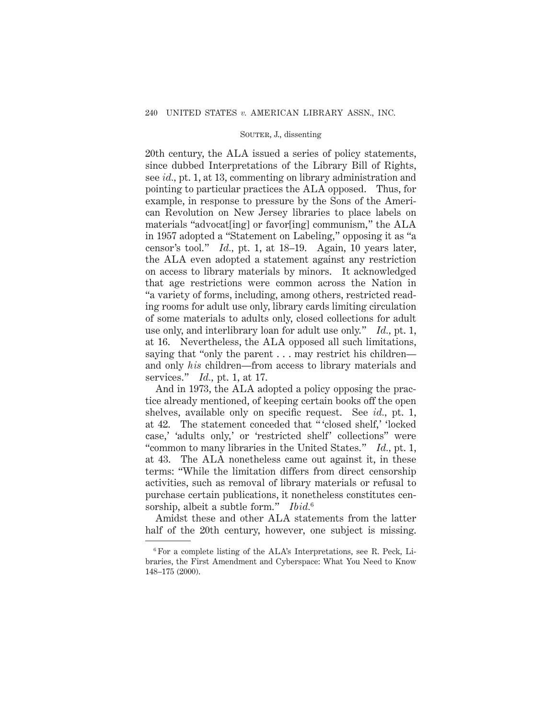20th century, the ALA issued a series of policy statements, since dubbed Interpretations of the Library Bill of Rights, see *id.,* pt. 1, at 13, commenting on library administration and pointing to particular practices the ALA opposed. Thus, for example, in response to pressure by the Sons of the American Revolution on New Jersey libraries to place labels on materials "advocat[ing] or favor[ing] communism," the ALA in 1957 adopted a "Statement on Labeling," opposing it as "a censor's tool." *Id.,* pt. 1, at 18–19. Again, 10 years later, the ALA even adopted a statement against any restriction on access to library materials by minors. It acknowledged that age restrictions were common across the Nation in "a variety of forms, including, among others, restricted reading rooms for adult use only, library cards limiting circulation of some materials to adults only, closed collections for adult use only, and interlibrary loan for adult use only." *Id.,* pt. 1, at 16. Nevertheless, the ALA opposed all such limitations, saying that "only the parent . . . may restrict his children and only *his* children—from access to library materials and services." *Id.,* pt. 1, at 17.

And in 1973, the ALA adopted a policy opposing the practice already mentioned, of keeping certain books off the open shelves, available only on specific request. See *id.,* pt. 1, at 42. The statement conceded that " 'closed shelf,' 'locked case,' 'adults only,' or 'restricted shelf' collections" were "common to many libraries in the United States." *Id.,* pt. 1, at 43. The ALA nonetheless came out against it, in these terms: "While the limitation differs from direct censorship activities, such as removal of library materials or refusal to purchase certain publications, it nonetheless constitutes censorship, albeit a subtle form." *Ibid.*<sup>6</sup>

Amidst these and other ALA statements from the latter half of the 20th century, however, one subject is missing.

<sup>6</sup> For a complete listing of the ALA's Interpretations, see R. Peck, Libraries, the First Amendment and Cyberspace: What You Need to Know 148–175 (2000).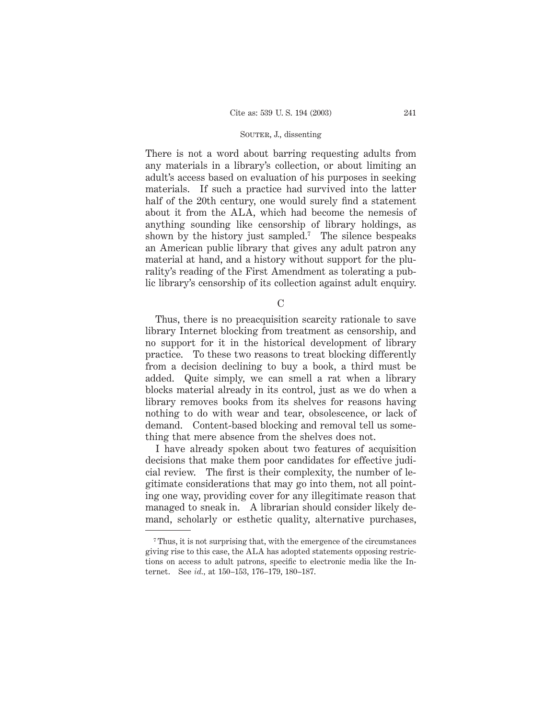There is not a word about barring requesting adults from any materials in a library's collection, or about limiting an adult's access based on evaluation of his purposes in seeking materials. If such a practice had survived into the latter half of the 20th century, one would surely find a statement about it from the ALA, which had become the nemesis of anything sounding like censorship of library holdings, as shown by the history just sampled.<sup>7</sup> The silence bespeaks an American public library that gives any adult patron any material at hand, and a history without support for the plurality's reading of the First Amendment as tolerating a public library's censorship of its collection against adult enquiry.

 $\mathcal{C}$ 

Thus, there is no preacquisition scarcity rationale to save library Internet blocking from treatment as censorship, and no support for it in the historical development of library practice. To these two reasons to treat blocking differently from a decision declining to buy a book, a third must be added. Quite simply, we can smell a rat when a library blocks material already in its control, just as we do when a library removes books from its shelves for reasons having nothing to do with wear and tear, obsolescence, or lack of demand. Content-based blocking and removal tell us something that mere absence from the shelves does not.

I have already spoken about two features of acquisition decisions that make them poor candidates for effective judicial review. The first is their complexity, the number of legitimate considerations that may go into them, not all pointing one way, providing cover for any illegitimate reason that managed to sneak in. A librarian should consider likely demand, scholarly or esthetic quality, alternative purchases,

<sup>7</sup> Thus, it is not surprising that, with the emergence of the circumstances giving rise to this case, the ALA has adopted statements opposing restrictions on access to adult patrons, specific to electronic media like the Internet. See *id.,* at 150–153, 176–179, 180–187.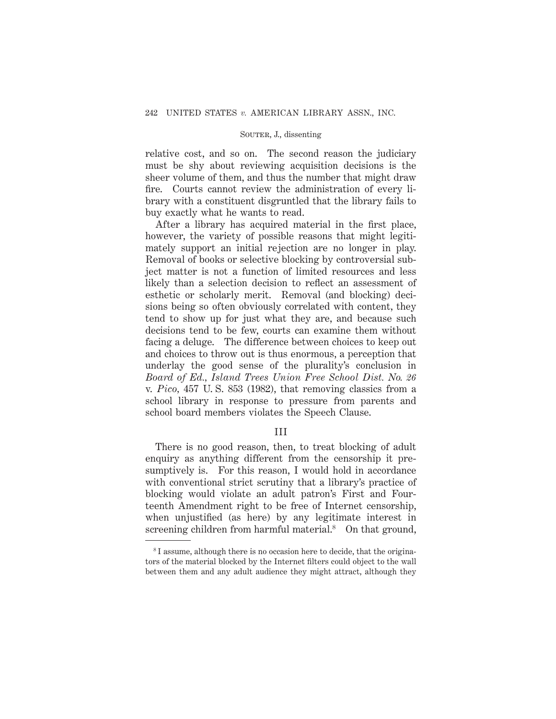relative cost, and so on. The second reason the judiciary must be shy about reviewing acquisition decisions is the sheer volume of them, and thus the number that might draw fire. Courts cannot review the administration of every library with a constituent disgruntled that the library fails to buy exactly what he wants to read.

After a library has acquired material in the first place, however, the variety of possible reasons that might legitimately support an initial rejection are no longer in play. Removal of books or selective blocking by controversial subject matter is not a function of limited resources and less likely than a selection decision to reflect an assessment of esthetic or scholarly merit. Removal (and blocking) decisions being so often obviously correlated with content, they tend to show up for just what they are, and because such decisions tend to be few, courts can examine them without facing a deluge. The difference between choices to keep out and choices to throw out is thus enormous, a perception that underlay the good sense of the plurality's conclusion in *Board of Ed., Island Trees Union Free School Dist. No. 26* v. *Pico,* 457 U. S. 853 (1982), that removing classics from a school library in response to pressure from parents and school board members violates the Speech Clause.

# III

There is no good reason, then, to treat blocking of adult enquiry as anything different from the censorship it presumptively is. For this reason, I would hold in accordance with conventional strict scrutiny that a library's practice of blocking would violate an adult patron's First and Fourteenth Amendment right to be free of Internet censorship, when unjustified (as here) by any legitimate interest in screening children from harmful material.<sup>8</sup> On that ground,

<sup>&</sup>lt;sup>8</sup>I assume, although there is no occasion here to decide, that the originators of the material blocked by the Internet filters could object to the wall between them and any adult audience they might attract, although they